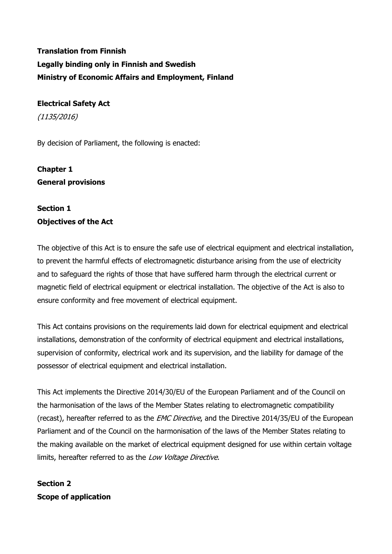# **Translation from Finnish Legally binding only in Finnish and Swedish Ministry of Economic Affairs and Employment, Finland**

## **Electrical Safety Act**

(1135/2016)

By decision of Parliament, the following is enacted:

# **Chapter 1 General provisions**

## **Section 1 Objectives of the Act**

The objective of this Act is to ensure the safe use of electrical equipment and electrical installation, to prevent the harmful effects of electromagnetic disturbance arising from the use of electricity and to safeguard the rights of those that have suffered harm through the electrical current or magnetic field of electrical equipment or electrical installation. The objective of the Act is also to ensure conformity and free movement of electrical equipment.

This Act contains provisions on the requirements laid down for electrical equipment and electrical installations, demonstration of the conformity of electrical equipment and electrical installations, supervision of conformity, electrical work and its supervision, and the liability for damage of the possessor of electrical equipment and electrical installation.

This Act implements the Directive 2014/30/EU of the European Parliament and of the Council on the harmonisation of the laws of the Member States relating to electromagnetic compatibility (recast), hereafter referred to as the EMC Directive, and the Directive 2014/35/EU of the European Parliament and of the Council on the harmonisation of the laws of the Member States relating to the making available on the market of electrical equipment designed for use within certain voltage limits, hereafter referred to as the Low Voltage Directive.

## **Section 2 Scope of application**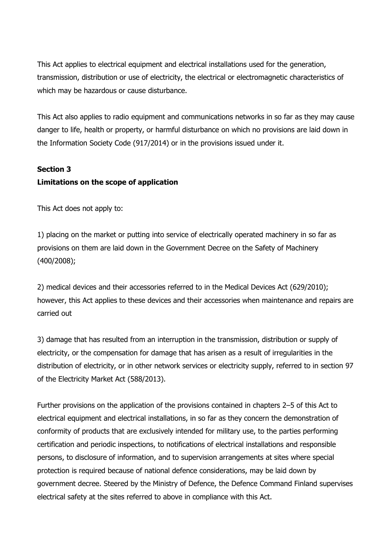This Act applies to electrical equipment and electrical installations used for the generation, transmission, distribution or use of electricity, the electrical or electromagnetic characteristics of which may be hazardous or cause disturbance.

This Act also applies to radio equipment and communications networks in so far as they may cause danger to life, health or property, or harmful disturbance on which no provisions are laid down in the Information Society Code (917/2014) or in the provisions issued under it.

#### **Section 3**

## **Limitations on the scope of application**

This Act does not apply to:

1) placing on the market or putting into service of electrically operated machinery in so far as provisions on them are laid down in the Government Decree on the Safety of Machinery (400/2008);

2) medical devices and their accessories referred to in the Medical Devices Act (629/2010); however, this Act applies to these devices and their accessories when maintenance and repairs are carried out

3) damage that has resulted from an interruption in the transmission, distribution or supply of electricity, or the compensation for damage that has arisen as a result of irregularities in the distribution of electricity, or in other network services or electricity supply, referred to in section 97 of the Electricity Market Act (588/2013).

Further provisions on the application of the provisions contained in chapters 2–5 of this Act to electrical equipment and electrical installations, in so far as they concern the demonstration of conformity of products that are exclusively intended for military use, to the parties performing certification and periodic inspections, to notifications of electrical installations and responsible persons, to disclosure of information, and to supervision arrangements at sites where special protection is required because of national defence considerations, may be laid down by government decree. Steered by the Ministry of Defence, the Defence Command Finland supervises electrical safety at the sites referred to above in compliance with this Act.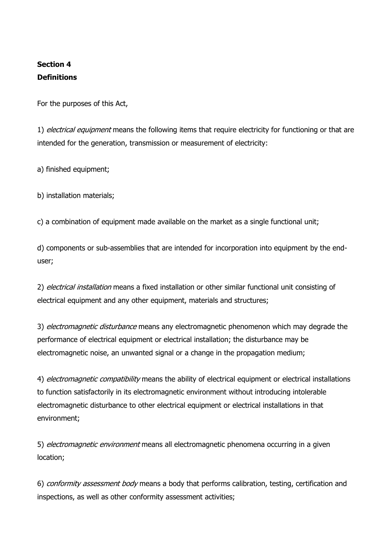## **Section 4 Definitions**

For the purposes of this Act,

1) electrical equipment means the following items that require electricity for functioning or that are intended for the generation, transmission or measurement of electricity:

a) finished equipment;

b) installation materials;

c) a combination of equipment made available on the market as a single functional unit;

d) components or sub-assemblies that are intended for incorporation into equipment by the enduser;

2) electrical installation means a fixed installation or other similar functional unit consisting of electrical equipment and any other equipment, materials and structures;

3) electromagnetic disturbance means any electromagnetic phenomenon which may degrade the performance of electrical equipment or electrical installation; the disturbance may be electromagnetic noise, an unwanted signal or a change in the propagation medium;

4) electromagnetic compatibility means the ability of electrical equipment or electrical installations to function satisfactorily in its electromagnetic environment without introducing intolerable electromagnetic disturbance to other electrical equipment or electrical installations in that environment;

5) *electromagnetic environment* means all electromagnetic phenomena occurring in a given location;

6) conformity assessment body means a body that performs calibration, testing, certification and inspections, as well as other conformity assessment activities;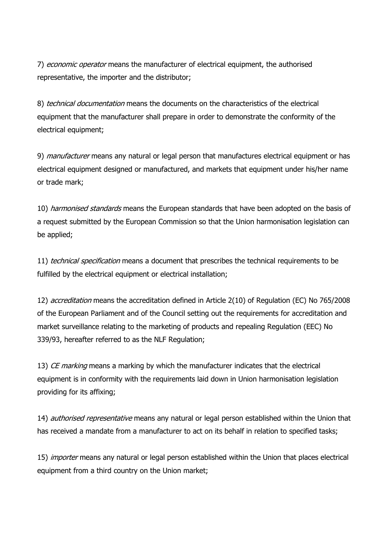7) *economic operator* means the manufacturer of electrical equipment, the authorised representative, the importer and the distributor;

8) technical documentation means the documents on the characteristics of the electrical equipment that the manufacturer shall prepare in order to demonstrate the conformity of the electrical equipment;

9) *manufacturer* means any natural or legal person that manufactures electrical equipment or has electrical equipment designed or manufactured, and markets that equipment under his/her name or trade mark;

10) *harmonised standards* means the European standards that have been adopted on the basis of a request submitted by the European Commission so that the Union harmonisation legislation can be applied;

11) *technical specification* means a document that prescribes the technical requirements to be fulfilled by the electrical equipment or electrical installation;

12) *accreditation* means the accreditation defined in Article 2(10) of Regulation (EC) No 765/2008 of the European Parliament and of the Council setting out the requirements for accreditation and market surveillance relating to the marketing of products and repealing Regulation (EEC) No 339/93, hereafter referred to as the NLF Regulation;

13) CE marking means a marking by which the manufacturer indicates that the electrical equipment is in conformity with the requirements laid down in Union harmonisation legislation providing for its affixing;

14) authorised representative means any natural or legal person established within the Union that has received a mandate from a manufacturer to act on its behalf in relation to specified tasks;

15) *importer* means any natural or legal person established within the Union that places electrical equipment from a third country on the Union market;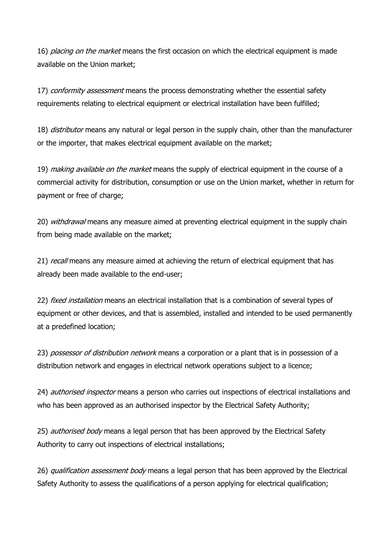16) *placing on the market* means the first occasion on which the electrical equipment is made available on the Union market;

17) conformity assessment means the process demonstrating whether the essential safety requirements relating to electrical equipment or electrical installation have been fulfilled;

18) *distributor* means any natural or legal person in the supply chain, other than the manufacturer or the importer, that makes electrical equipment available on the market;

19) making available on the market means the supply of electrical equipment in the course of a commercial activity for distribution, consumption or use on the Union market, whether in return for payment or free of charge;

20) withdrawal means any measure aimed at preventing electrical equipment in the supply chain from being made available on the market;

21) recall means any measure aimed at achieving the return of electrical equipment that has already been made available to the end-user;

22) *fixed installation* means an electrical installation that is a combination of several types of equipment or other devices, and that is assembled, installed and intended to be used permanently at a predefined location;

23) possessor of distribution network means a corporation or a plant that is in possession of a distribution network and engages in electrical network operations subject to a licence;

24) *authorised inspector* means a person who carries out inspections of electrical installations and who has been approved as an authorised inspector by the Electrical Safety Authority;

25) *authorised body* means a legal person that has been approved by the Electrical Safety Authority to carry out inspections of electrical installations;

26) qualification assessment body means a legal person that has been approved by the Electrical Safety Authority to assess the qualifications of a person applying for electrical qualification;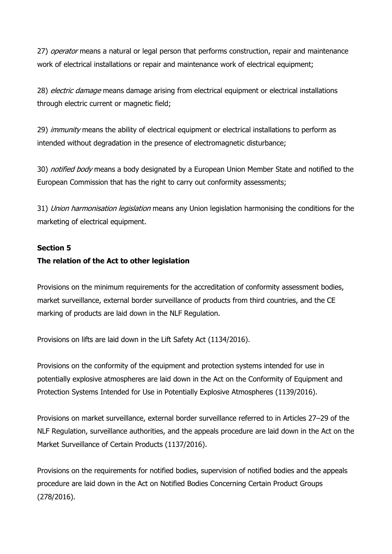27) operator means a natural or legal person that performs construction, repair and maintenance work of electrical installations or repair and maintenance work of electrical equipment;

28) *electric damage* means damage arising from electrical equipment or electrical installations through electric current or magnetic field;

29) immunity means the ability of electrical equipment or electrical installations to perform as intended without degradation in the presence of electromagnetic disturbance;

30) notified body means a body designated by a European Union Member State and notified to the European Commission that has the right to carry out conformity assessments;

31) Union harmonisation legislation means any Union legislation harmonising the conditions for the marketing of electrical equipment.

#### **Section 5**

#### **The relation of the Act to other legislation**

Provisions on the minimum requirements for the accreditation of conformity assessment bodies, market surveillance, external border surveillance of products from third countries, and the CE marking of products are laid down in the NLF Regulation.

Provisions on lifts are laid down in the Lift Safety Act (1134/2016).

Provisions on the conformity of the equipment and protection systems intended for use in potentially explosive atmospheres are laid down in the Act on the Conformity of Equipment and Protection Systems Intended for Use in Potentially Explosive Atmospheres (1139/2016).

Provisions on market surveillance, external border surveillance referred to in Articles 27–29 of the NLF Regulation, surveillance authorities, and the appeals procedure are laid down in the Act on the Market Surveillance of Certain Products (1137/2016).

Provisions on the requirements for notified bodies, supervision of notified bodies and the appeals procedure are laid down in the Act on Notified Bodies Concerning Certain Product Groups (278/2016).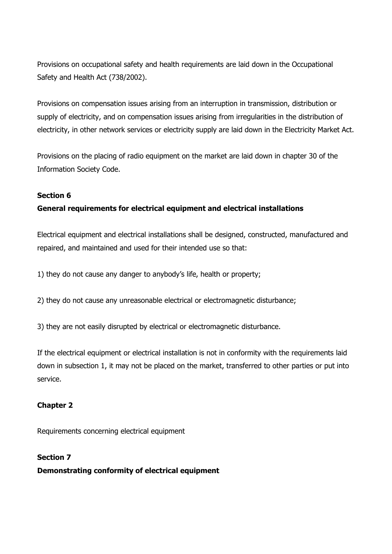Provisions on occupational safety and health requirements are laid down in the Occupational Safety and Health Act (738/2002).

Provisions on compensation issues arising from an interruption in transmission, distribution or supply of electricity, and on compensation issues arising from irregularities in the distribution of electricity, in other network services or electricity supply are laid down in the Electricity Market Act.

Provisions on the placing of radio equipment on the market are laid down in chapter 30 of the Information Society Code.

## **Section 6**

## **General requirements for electrical equipment and electrical installations**

Electrical equipment and electrical installations shall be designed, constructed, manufactured and repaired, and maintained and used for their intended use so that:

1) they do not cause any danger to anybody's life, health or property;

2) they do not cause any unreasonable electrical or electromagnetic disturbance;

3) they are not easily disrupted by electrical or electromagnetic disturbance.

If the electrical equipment or electrical installation is not in conformity with the requirements laid down in subsection 1, it may not be placed on the market, transferred to other parties or put into service.

## **Chapter 2**

Requirements concerning electrical equipment

**Section 7 Demonstrating conformity of electrical equipment**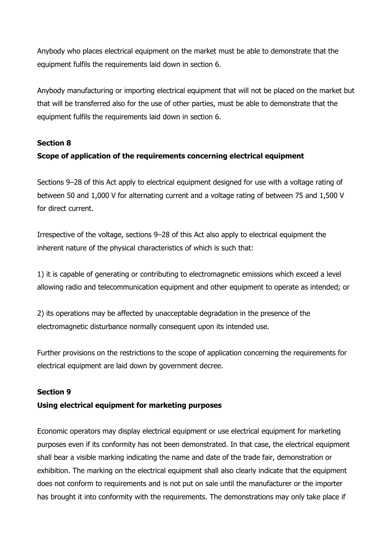Anybody who places electrical equipment on the market must be able to demonstrate that the equipment fulfils the requirements laid down in section 6.

Anybody manufacturing or importing electrical equipment that will not be placed on the market but that will be transferred also for the use of other parties, must be able to demonstrate that the equipment fulfils the requirements laid down in section 6.

## **Section 8**

## **Scope of application of the requirements concerning electrical equipment**

Sections 9–28 of this Act apply to electrical equipment designed for use with a voltage rating of between 50 and 1,000 V for alternating current and a voltage rating of between 75 and 1,500 V for direct current.

Irrespective of the voltage, sections 9–28 of this Act also apply to electrical equipment the inherent nature of the physical characteristics of which is such that:

1) it is capable of generating or contributing to electromagnetic emissions which exceed a level allowing radio and telecommunication equipment and other equipment to operate as intended; or

2) its operations may be affected by unacceptable degradation in the presence of the electromagnetic disturbance normally consequent upon its intended use.

Further provisions on the restrictions to the scope of application concerning the requirements for electrical equipment are laid down by government decree.

## **Section 9**

## **Using electrical equipment for marketing purposes**

Economic operators may display electrical equipment or use electrical equipment for marketing purposes even if its conformity has not been demonstrated. In that case, the electrical equipment shall bear a visible marking indicating the name and date of the trade fair, demonstration or exhibition. The marking on the electrical equipment shall also clearly indicate that the equipment does not conform to requirements and is not put on sale until the manufacturer or the importer has brought it into conformity with the requirements. The demonstrations may only take place if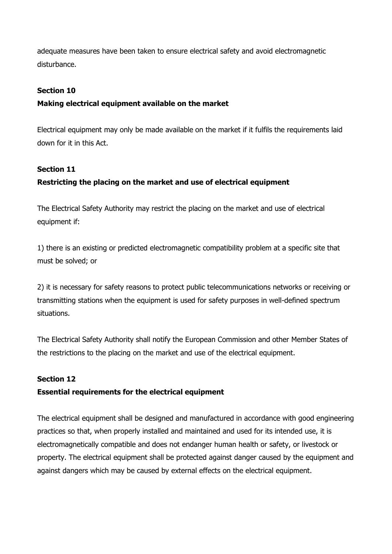adequate measures have been taken to ensure electrical safety and avoid electromagnetic disturbance.

## **Section 10**

## **Making electrical equipment available on the market**

Electrical equipment may only be made available on the market if it fulfils the requirements laid down for it in this Act.

## **Section 11**

## **Restricting the placing on the market and use of electrical equipment**

The Electrical Safety Authority may restrict the placing on the market and use of electrical equipment if:

1) there is an existing or predicted electromagnetic compatibility problem at a specific site that must be solved; or

2) it is necessary for safety reasons to protect public telecommunications networks or receiving or transmitting stations when the equipment is used for safety purposes in well-defined spectrum situations.

The Electrical Safety Authority shall notify the European Commission and other Member States of the restrictions to the placing on the market and use of the electrical equipment.

## **Section 12**

## **Essential requirements for the electrical equipment**

The electrical equipment shall be designed and manufactured in accordance with good engineering practices so that, when properly installed and maintained and used for its intended use, it is electromagnetically compatible and does not endanger human health or safety, or livestock or property. The electrical equipment shall be protected against danger caused by the equipment and against dangers which may be caused by external effects on the electrical equipment.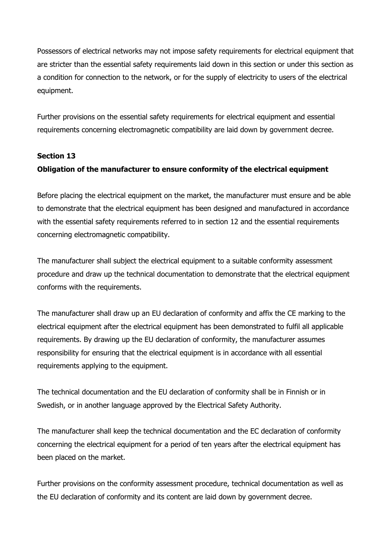Possessors of electrical networks may not impose safety requirements for electrical equipment that are stricter than the essential safety requirements laid down in this section or under this section as a condition for connection to the network, or for the supply of electricity to users of the electrical equipment.

Further provisions on the essential safety requirements for electrical equipment and essential requirements concerning electromagnetic compatibility are laid down by government decree.

## **Section 13 Obligation of the manufacturer to ensure conformity of the electrical equipment**

Before placing the electrical equipment on the market, the manufacturer must ensure and be able to demonstrate that the electrical equipment has been designed and manufactured in accordance with the essential safety requirements referred to in section 12 and the essential requirements concerning electromagnetic compatibility.

The manufacturer shall subject the electrical equipment to a suitable conformity assessment procedure and draw up the technical documentation to demonstrate that the electrical equipment conforms with the requirements.

The manufacturer shall draw up an EU declaration of conformity and affix the CE marking to the electrical equipment after the electrical equipment has been demonstrated to fulfil all applicable requirements. By drawing up the EU declaration of conformity, the manufacturer assumes responsibility for ensuring that the electrical equipment is in accordance with all essential requirements applying to the equipment.

The technical documentation and the EU declaration of conformity shall be in Finnish or in Swedish, or in another language approved by the Electrical Safety Authority.

The manufacturer shall keep the technical documentation and the EC declaration of conformity concerning the electrical equipment for a period of ten years after the electrical equipment has been placed on the market.

Further provisions on the conformity assessment procedure, technical documentation as well as the EU declaration of conformity and its content are laid down by government decree.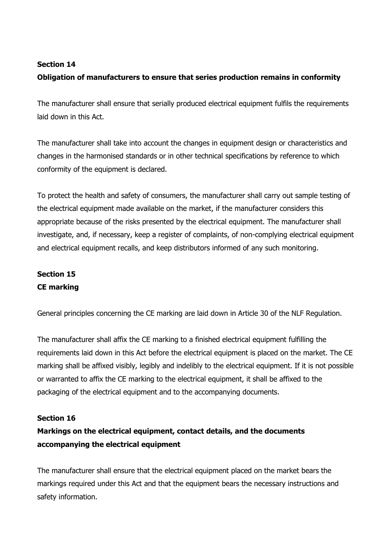## **Section 14**

## **Obligation of manufacturers to ensure that series production remains in conformity**

The manufacturer shall ensure that serially produced electrical equipment fulfils the requirements laid down in this Act.

The manufacturer shall take into account the changes in equipment design or characteristics and changes in the harmonised standards or in other technical specifications by reference to which conformity of the equipment is declared.

To protect the health and safety of consumers, the manufacturer shall carry out sample testing of the electrical equipment made available on the market, if the manufacturer considers this appropriate because of the risks presented by the electrical equipment. The manufacturer shall investigate, and, if necessary, keep a register of complaints, of non-complying electrical equipment and electrical equipment recalls, and keep distributors informed of any such monitoring.

## **Section 15 CE marking**

General principles concerning the CE marking are laid down in Article 30 of the NLF Regulation.

The manufacturer shall affix the CE marking to a finished electrical equipment fulfilling the requirements laid down in this Act before the electrical equipment is placed on the market. The CE marking shall be affixed visibly, legibly and indelibly to the electrical equipment. If it is not possible or warranted to affix the CE marking to the electrical equipment, it shall be affixed to the packaging of the electrical equipment and to the accompanying documents.

## **Section 16**

## **Markings on the electrical equipment, contact details, and the documents accompanying the electrical equipment**

The manufacturer shall ensure that the electrical equipment placed on the market bears the markings required under this Act and that the equipment bears the necessary instructions and safety information.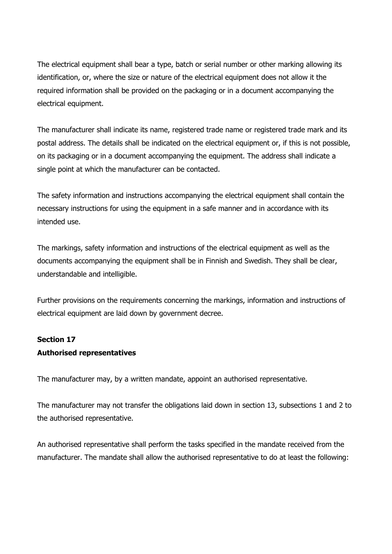The electrical equipment shall bear a type, batch or serial number or other marking allowing its identification, or, where the size or nature of the electrical equipment does not allow it the required information shall be provided on the packaging or in a document accompanying the electrical equipment.

The manufacturer shall indicate its name, registered trade name or registered trade mark and its postal address. The details shall be indicated on the electrical equipment or, if this is not possible, on its packaging or in a document accompanying the equipment. The address shall indicate a single point at which the manufacturer can be contacted.

The safety information and instructions accompanying the electrical equipment shall contain the necessary instructions for using the equipment in a safe manner and in accordance with its intended use.

The markings, safety information and instructions of the electrical equipment as well as the documents accompanying the equipment shall be in Finnish and Swedish. They shall be clear, understandable and intelligible.

Further provisions on the requirements concerning the markings, information and instructions of electrical equipment are laid down by government decree.

## **Section 17**

## **Authorised representatives**

The manufacturer may, by a written mandate, appoint an authorised representative.

The manufacturer may not transfer the obligations laid down in section 13, subsections 1 and 2 to the authorised representative.

An authorised representative shall perform the tasks specified in the mandate received from the manufacturer. The mandate shall allow the authorised representative to do at least the following: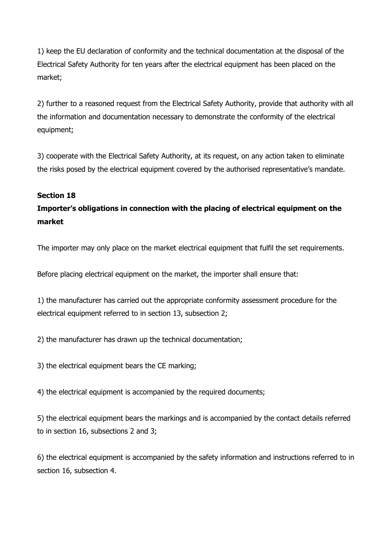1) keep the EU declaration of conformity and the technical documentation at the disposal of the Electrical Safety Authority for ten years after the electrical equipment has been placed on the market;

2) further to a reasoned request from the Electrical Safety Authority, provide that authority with all the information and documentation necessary to demonstrate the conformity of the electrical equipment;

3) cooperate with the Electrical Safety Authority, at its request, on any action taken to eliminate the risks posed by the electrical equipment covered by the authorised representative's mandate.

## **Section 18**

**Importer's obligations in connection with the placing of electrical equipment on the market**

The importer may only place on the market electrical equipment that fulfil the set requirements.

Before placing electrical equipment on the market, the importer shall ensure that:

1) the manufacturer has carried out the appropriate conformity assessment procedure for the electrical equipment referred to in section 13, subsection 2;

2) the manufacturer has drawn up the technical documentation;

3) the electrical equipment bears the CE marking;

4) the electrical equipment is accompanied by the required documents;

5) the electrical equipment bears the markings and is accompanied by the contact details referred to in section 16, subsections 2 and 3;

6) the electrical equipment is accompanied by the safety information and instructions referred to in section 16, subsection 4.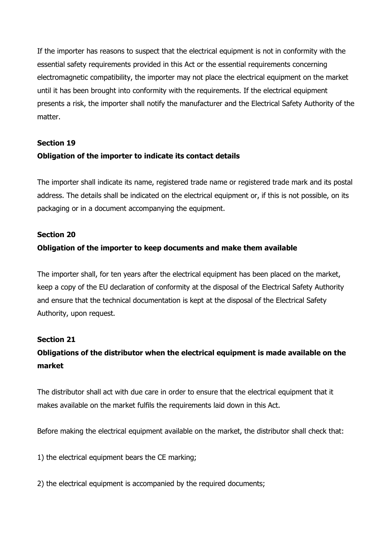If the importer has reasons to suspect that the electrical equipment is not in conformity with the essential safety requirements provided in this Act or the essential requirements concerning electromagnetic compatibility, the importer may not place the electrical equipment on the market until it has been brought into conformity with the requirements. If the electrical equipment presents a risk, the importer shall notify the manufacturer and the Electrical Safety Authority of the matter.

# **Section 19 Obligation of the importer to indicate its contact details**

The importer shall indicate its name, registered trade name or registered trade mark and its postal address. The details shall be indicated on the electrical equipment or, if this is not possible, on its packaging or in a document accompanying the equipment.

## **Section 20**

## **Obligation of the importer to keep documents and make them available**

The importer shall, for ten years after the electrical equipment has been placed on the market, keep a copy of the EU declaration of conformity at the disposal of the Electrical Safety Authority and ensure that the technical documentation is kept at the disposal of the Electrical Safety Authority, upon request.

## **Section 21**

## **Obligations of the distributor when the electrical equipment is made available on the market**

The distributor shall act with due care in order to ensure that the electrical equipment that it makes available on the market fulfils the requirements laid down in this Act.

Before making the electrical equipment available on the market, the distributor shall check that:

1) the electrical equipment bears the CE marking;

2) the electrical equipment is accompanied by the required documents;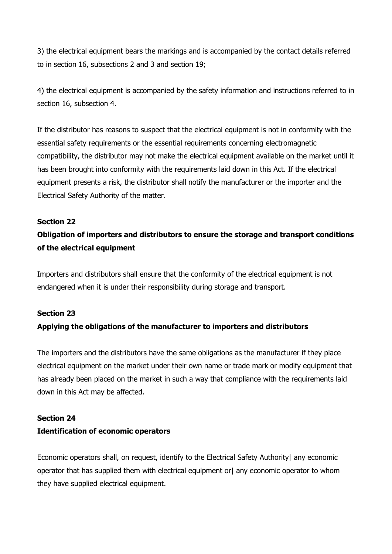3) the electrical equipment bears the markings and is accompanied by the contact details referred to in section 16, subsections 2 and 3 and section 19;

4) the electrical equipment is accompanied by the safety information and instructions referred to in section 16, subsection 4.

If the distributor has reasons to suspect that the electrical equipment is not in conformity with the essential safety requirements or the essential requirements concerning electromagnetic compatibility, the distributor may not make the electrical equipment available on the market until it has been brought into conformity with the requirements laid down in this Act. If the electrical equipment presents a risk, the distributor shall notify the manufacturer or the importer and the Electrical Safety Authority of the matter.

#### **Section 22**

# **Obligation of importers and distributors to ensure the storage and transport conditions of the electrical equipment**

Importers and distributors shall ensure that the conformity of the electrical equipment is not endangered when it is under their responsibility during storage and transport.

#### **Section 23**

## **Applying the obligations of the manufacturer to importers and distributors**

The importers and the distributors have the same obligations as the manufacturer if they place electrical equipment on the market under their own name or trade mark or modify equipment that has already been placed on the market in such a way that compliance with the requirements laid down in this Act may be affected.

#### **Section 24**

## **Identification of economic operators**

Economic operators shall, on request, identify to the Electrical Safety Authority| any economic operator that has supplied them with electrical equipment or any economic operator to whom they have supplied electrical equipment.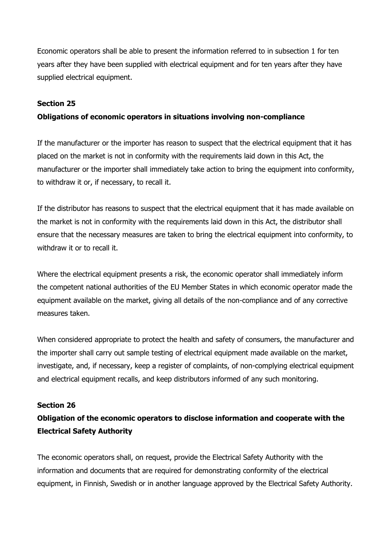Economic operators shall be able to present the information referred to in subsection 1 for ten years after they have been supplied with electrical equipment and for ten years after they have supplied electrical equipment.

### **Section 25**

### **Obligations of economic operators in situations involving non-compliance**

If the manufacturer or the importer has reason to suspect that the electrical equipment that it has placed on the market is not in conformity with the requirements laid down in this Act, the manufacturer or the importer shall immediately take action to bring the equipment into conformity, to withdraw it or, if necessary, to recall it.

If the distributor has reasons to suspect that the electrical equipment that it has made available on the market is not in conformity with the requirements laid down in this Act, the distributor shall ensure that the necessary measures are taken to bring the electrical equipment into conformity, to withdraw it or to recall it.

Where the electrical equipment presents a risk, the economic operator shall immediately inform the competent national authorities of the EU Member States in which economic operator made the equipment available on the market, giving all details of the non-compliance and of any corrective measures taken.

When considered appropriate to protect the health and safety of consumers, the manufacturer and the importer shall carry out sample testing of electrical equipment made available on the market, investigate, and, if necessary, keep a register of complaints, of non-complying electrical equipment and electrical equipment recalls, and keep distributors informed of any such monitoring.

#### **Section 26**

## **Obligation of the economic operators to disclose information and cooperate with the Electrical Safety Authority**

The economic operators shall, on request, provide the Electrical Safety Authority with the information and documents that are required for demonstrating conformity of the electrical equipment, in Finnish, Swedish or in another language approved by the Electrical Safety Authority.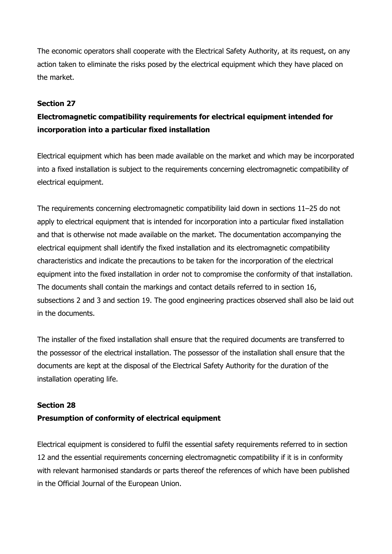The economic operators shall cooperate with the Electrical Safety Authority, at its request, on any action taken to eliminate the risks posed by the electrical equipment which they have placed on the market.

## **Section 27**

# **Electromagnetic compatibility requirements for electrical equipment intended for incorporation into a particular fixed installation**

Electrical equipment which has been made available on the market and which may be incorporated into a fixed installation is subject to the requirements concerning electromagnetic compatibility of electrical equipment.

The requirements concerning electromagnetic compatibility laid down in sections 11–25 do not apply to electrical equipment that is intended for incorporation into a particular fixed installation and that is otherwise not made available on the market. The documentation accompanying the electrical equipment shall identify the fixed installation and its electromagnetic compatibility characteristics and indicate the precautions to be taken for the incorporation of the electrical equipment into the fixed installation in order not to compromise the conformity of that installation. The documents shall contain the markings and contact details referred to in section 16, subsections 2 and 3 and section 19. The good engineering practices observed shall also be laid out in the documents.

The installer of the fixed installation shall ensure that the required documents are transferred to the possessor of the electrical installation. The possessor of the installation shall ensure that the documents are kept at the disposal of the Electrical Safety Authority for the duration of the installation operating life.

## **Section 28 Presumption of conformity of electrical equipment**

Electrical equipment is considered to fulfil the essential safety requirements referred to in section 12 and the essential requirements concerning electromagnetic compatibility if it is in conformity with relevant harmonised standards or parts thereof the references of which have been published in the Official Journal of the European Union.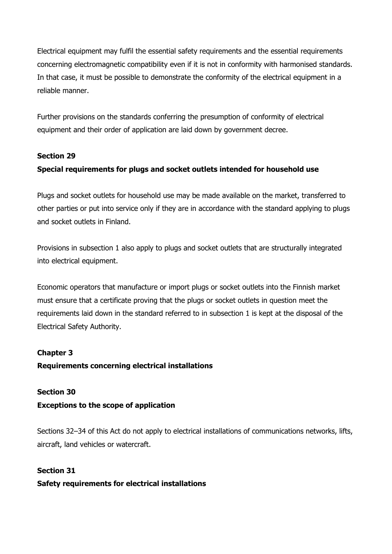Electrical equipment may fulfil the essential safety requirements and the essential requirements concerning electromagnetic compatibility even if it is not in conformity with harmonised standards. In that case, it must be possible to demonstrate the conformity of the electrical equipment in a reliable manner.

Further provisions on the standards conferring the presumption of conformity of electrical equipment and their order of application are laid down by government decree.

## **Section 29**

## **Special requirements for plugs and socket outlets intended for household use**

Plugs and socket outlets for household use may be made available on the market, transferred to other parties or put into service only if they are in accordance with the standard applying to plugs and socket outlets in Finland.

Provisions in subsection 1 also apply to plugs and socket outlets that are structurally integrated into electrical equipment.

Economic operators that manufacture or import plugs or socket outlets into the Finnish market must ensure that a certificate proving that the plugs or socket outlets in question meet the requirements laid down in the standard referred to in subsection 1 is kept at the disposal of the Electrical Safety Authority.

## **Chapter 3**

## **Requirements concerning electrical installations**

## **Section 30**

## **Exceptions to the scope of application**

Sections 32–34 of this Act do not apply to electrical installations of communications networks, lifts, aircraft, land vehicles or watercraft.

## **Section 31**

## **Safety requirements for electrical installations**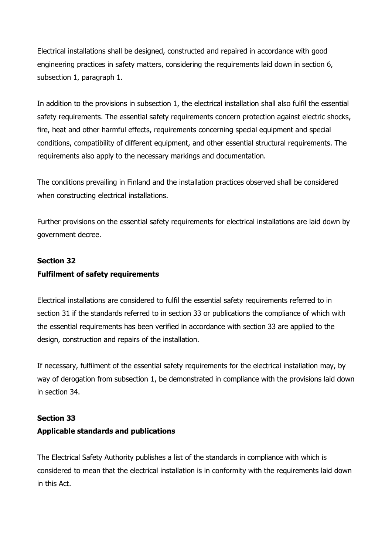Electrical installations shall be designed, constructed and repaired in accordance with good engineering practices in safety matters, considering the requirements laid down in section 6, subsection 1, paragraph 1.

In addition to the provisions in subsection 1, the electrical installation shall also fulfil the essential safety requirements. The essential safety requirements concern protection against electric shocks, fire, heat and other harmful effects, requirements concerning special equipment and special conditions, compatibility of different equipment, and other essential structural requirements. The requirements also apply to the necessary markings and documentation.

The conditions prevailing in Finland and the installation practices observed shall be considered when constructing electrical installations.

Further provisions on the essential safety requirements for electrical installations are laid down by government decree.

# **Section 32 Fulfilment of safety requirements**

Electrical installations are considered to fulfil the essential safety requirements referred to in section 31 if the standards referred to in section 33 or publications the compliance of which with the essential requirements has been verified in accordance with section 33 are applied to the design, construction and repairs of the installation.

If necessary, fulfilment of the essential safety requirements for the electrical installation may, by way of derogation from subsection 1, be demonstrated in compliance with the provisions laid down in section 34.

## **Section 33**

## **Applicable standards and publications**

The Electrical Safety Authority publishes a list of the standards in compliance with which is considered to mean that the electrical installation is in conformity with the requirements laid down in this Act.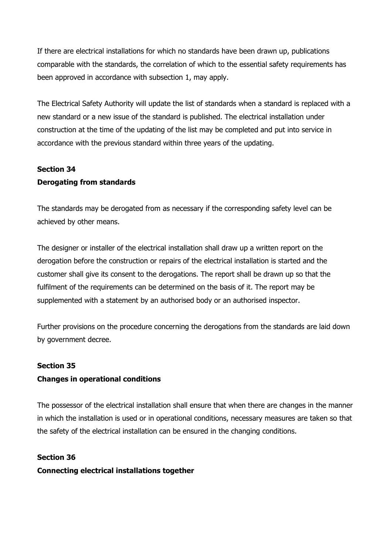If there are electrical installations for which no standards have been drawn up, publications comparable with the standards, the correlation of which to the essential safety requirements has been approved in accordance with subsection 1, may apply.

The Electrical Safety Authority will update the list of standards when a standard is replaced with a new standard or a new issue of the standard is published. The electrical installation under construction at the time of the updating of the list may be completed and put into service in accordance with the previous standard within three years of the updating.

## **Section 34 Derogating from standards**

The standards may be derogated from as necessary if the corresponding safety level can be achieved by other means.

The designer or installer of the electrical installation shall draw up a written report on the derogation before the construction or repairs of the electrical installation is started and the customer shall give its consent to the derogations. The report shall be drawn up so that the fulfilment of the requirements can be determined on the basis of it. The report may be supplemented with a statement by an authorised body or an authorised inspector.

Further provisions on the procedure concerning the derogations from the standards are laid down by government decree.

## **Section 35**

## **Changes in operational conditions**

The possessor of the electrical installation shall ensure that when there are changes in the manner in which the installation is used or in operational conditions, necessary measures are taken so that the safety of the electrical installation can be ensured in the changing conditions.

## **Section 36**

**Connecting electrical installations together**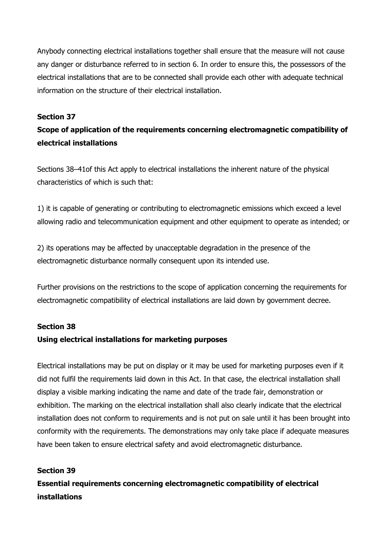Anybody connecting electrical installations together shall ensure that the measure will not cause any danger or disturbance referred to in section 6. In order to ensure this, the possessors of the electrical installations that are to be connected shall provide each other with adequate technical information on the structure of their electrical installation.

### **Section 37**

## **Scope of application of the requirements concerning electromagnetic compatibility of electrical installations**

Sections 38–41of this Act apply to electrical installations the inherent nature of the physical characteristics of which is such that:

1) it is capable of generating or contributing to electromagnetic emissions which exceed a level allowing radio and telecommunication equipment and other equipment to operate as intended; or

2) its operations may be affected by unacceptable degradation in the presence of the electromagnetic disturbance normally consequent upon its intended use.

Further provisions on the restrictions to the scope of application concerning the requirements for electromagnetic compatibility of electrical installations are laid down by government decree.

#### **Section 38**

#### **Using electrical installations for marketing purposes**

Electrical installations may be put on display or it may be used for marketing purposes even if it did not fulfil the requirements laid down in this Act. In that case, the electrical installation shall display a visible marking indicating the name and date of the trade fair, demonstration or exhibition. The marking on the electrical installation shall also clearly indicate that the electrical installation does not conform to requirements and is not put on sale until it has been brought into conformity with the requirements. The demonstrations may only take place if adequate measures have been taken to ensure electrical safety and avoid electromagnetic disturbance.

#### **Section 39**

**Essential requirements concerning electromagnetic compatibility of electrical installations**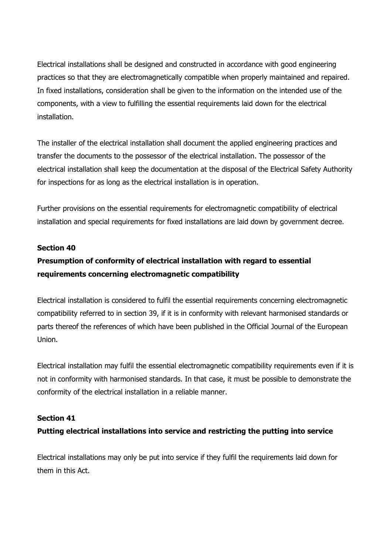Electrical installations shall be designed and constructed in accordance with good engineering practices so that they are electromagnetically compatible when properly maintained and repaired. In fixed installations, consideration shall be given to the information on the intended use of the components, with a view to fulfilling the essential requirements laid down for the electrical installation.

The installer of the electrical installation shall document the applied engineering practices and transfer the documents to the possessor of the electrical installation. The possessor of the electrical installation shall keep the documentation at the disposal of the Electrical Safety Authority for inspections for as long as the electrical installation is in operation.

Further provisions on the essential requirements for electromagnetic compatibility of electrical installation and special requirements for fixed installations are laid down by government decree.

#### **Section 40**

## **Presumption of conformity of electrical installation with regard to essential requirements concerning electromagnetic compatibility**

Electrical installation is considered to fulfil the essential requirements concerning electromagnetic compatibility referred to in section 39, if it is in conformity with relevant harmonised standards or parts thereof the references of which have been published in the Official Journal of the European Union.

Electrical installation may fulfil the essential electromagnetic compatibility requirements even if it is not in conformity with harmonised standards. In that case, it must be possible to demonstrate the conformity of the electrical installation in a reliable manner.

#### **Section 41**

## **Putting electrical installations into service and restricting the putting into service**

Electrical installations may only be put into service if they fulfil the requirements laid down for them in this Act.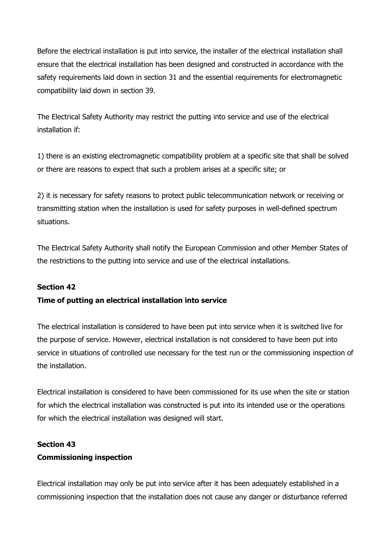Before the electrical installation is put into service, the installer of the electrical installation shall ensure that the electrical installation has been designed and constructed in accordance with the safety requirements laid down in section 31 and the essential requirements for electromagnetic compatibility laid down in section 39.

The Electrical Safety Authority may restrict the putting into service and use of the electrical installation if:

1) there is an existing electromagnetic compatibility problem at a specific site that shall be solved or there are reasons to expect that such a problem arises at a specific site; or

2) it is necessary for safety reasons to protect public telecommunication network or receiving or transmitting station when the installation is used for safety purposes in well-defined spectrum situations.

The Electrical Safety Authority shall notify the European Commission and other Member States of the restrictions to the putting into service and use of the electrical installations.

## **Section 42**

## **Time of putting an electrical installation into service**

The electrical installation is considered to have been put into service when it is switched live for the purpose of service. However, electrical installation is not considered to have been put into service in situations of controlled use necessary for the test run or the commissioning inspection of the installation.

Electrical installation is considered to have been commissioned for its use when the site or station for which the electrical installation was constructed is put into its intended use or the operations for which the electrical installation was designed will start.

## **Section 43**

#### **Commissioning inspection**

Electrical installation may only be put into service after it has been adequately established in a commissioning inspection that the installation does not cause any danger or disturbance referred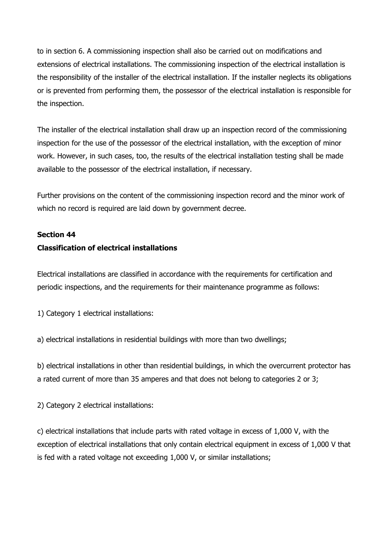to in section 6. A commissioning inspection shall also be carried out on modifications and extensions of electrical installations. The commissioning inspection of the electrical installation is the responsibility of the installer of the electrical installation. If the installer neglects its obligations or is prevented from performing them, the possessor of the electrical installation is responsible for the inspection.

The installer of the electrical installation shall draw up an inspection record of the commissioning inspection for the use of the possessor of the electrical installation, with the exception of minor work. However, in such cases, too, the results of the electrical installation testing shall be made available to the possessor of the electrical installation, if necessary.

Further provisions on the content of the commissioning inspection record and the minor work of which no record is required are laid down by government decree.

#### **Section 44**

## **Classification of electrical installations**

Electrical installations are classified in accordance with the requirements for certification and periodic inspections, and the requirements for their maintenance programme as follows:

1) Category 1 electrical installations:

a) electrical installations in residential buildings with more than two dwellings;

b) electrical installations in other than residential buildings, in which the overcurrent protector has a rated current of more than 35 amperes and that does not belong to categories 2 or 3;

2) Category 2 electrical installations:

c) electrical installations that include parts with rated voltage in excess of 1,000 V, with the exception of electrical installations that only contain electrical equipment in excess of 1,000 V that is fed with a rated voltage not exceeding 1,000 V, or similar installations;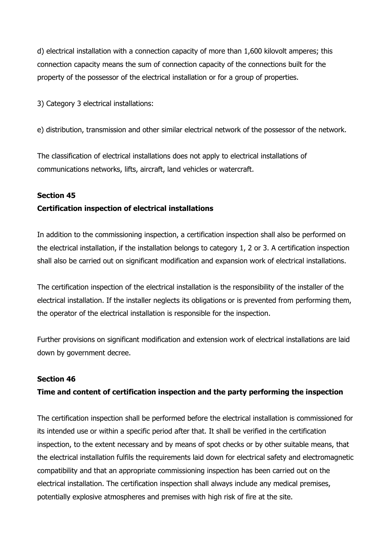d) electrical installation with a connection capacity of more than 1,600 kilovolt amperes; this connection capacity means the sum of connection capacity of the connections built for the property of the possessor of the electrical installation or for a group of properties.

3) Category 3 electrical installations:

e) distribution, transmission and other similar electrical network of the possessor of the network.

The classification of electrical installations does not apply to electrical installations of communications networks, lifts, aircraft, land vehicles or watercraft.

## **Section 45**

## **Certification inspection of electrical installations**

In addition to the commissioning inspection, a certification inspection shall also be performed on the electrical installation, if the installation belongs to category 1, 2 or 3. A certification inspection shall also be carried out on significant modification and expansion work of electrical installations.

The certification inspection of the electrical installation is the responsibility of the installer of the electrical installation. If the installer neglects its obligations or is prevented from performing them, the operator of the electrical installation is responsible for the inspection.

Further provisions on significant modification and extension work of electrical installations are laid down by government decree.

## **Section 46**

## **Time and content of certification inspection and the party performing the inspection**

The certification inspection shall be performed before the electrical installation is commissioned for its intended use or within a specific period after that. It shall be verified in the certification inspection, to the extent necessary and by means of spot checks or by other suitable means, that the electrical installation fulfils the requirements laid down for electrical safety and electromagnetic compatibility and that an appropriate commissioning inspection has been carried out on the electrical installation. The certification inspection shall always include any medical premises, potentially explosive atmospheres and premises with high risk of fire at the site.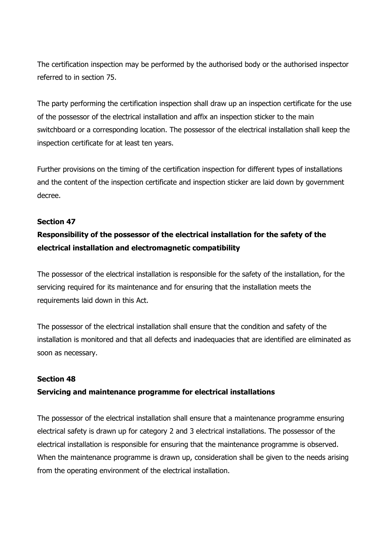The certification inspection may be performed by the authorised body or the authorised inspector referred to in section 75.

The party performing the certification inspection shall draw up an inspection certificate for the use of the possessor of the electrical installation and affix an inspection sticker to the main switchboard or a corresponding location. The possessor of the electrical installation shall keep the inspection certificate for at least ten years.

Further provisions on the timing of the certification inspection for different types of installations and the content of the inspection certificate and inspection sticker are laid down by government decree.

## **Section 47**

# **Responsibility of the possessor of the electrical installation for the safety of the electrical installation and electromagnetic compatibility**

The possessor of the electrical installation is responsible for the safety of the installation, for the servicing required for its maintenance and for ensuring that the installation meets the requirements laid down in this Act.

The possessor of the electrical installation shall ensure that the condition and safety of the installation is monitored and that all defects and inadequacies that are identified are eliminated as soon as necessary.

## **Section 48**

## **Servicing and maintenance programme for electrical installations**

The possessor of the electrical installation shall ensure that a maintenance programme ensuring electrical safety is drawn up for category 2 and 3 electrical installations. The possessor of the electrical installation is responsible for ensuring that the maintenance programme is observed. When the maintenance programme is drawn up, consideration shall be given to the needs arising from the operating environment of the electrical installation.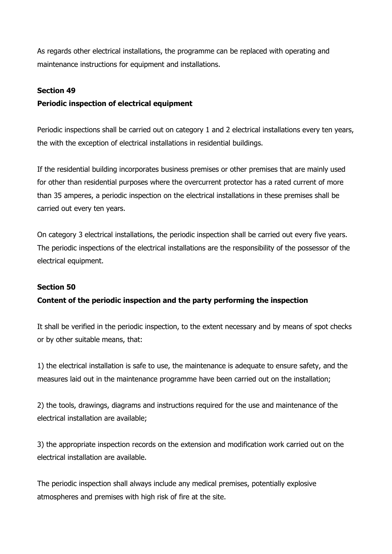As regards other electrical installations, the programme can be replaced with operating and maintenance instructions for equipment and installations.

### **Section 49**

## **Periodic inspection of electrical equipment**

Periodic inspections shall be carried out on category 1 and 2 electrical installations every ten years, the with the exception of electrical installations in residential buildings.

If the residential building incorporates business premises or other premises that are mainly used for other than residential purposes where the overcurrent protector has a rated current of more than 35 amperes, a periodic inspection on the electrical installations in these premises shall be carried out every ten years.

On category 3 electrical installations, the periodic inspection shall be carried out every five years. The periodic inspections of the electrical installations are the responsibility of the possessor of the electrical equipment.

## **Section 50**

## **Content of the periodic inspection and the party performing the inspection**

It shall be verified in the periodic inspection, to the extent necessary and by means of spot checks or by other suitable means, that:

1) the electrical installation is safe to use, the maintenance is adequate to ensure safety, and the measures laid out in the maintenance programme have been carried out on the installation;

2) the tools, drawings, diagrams and instructions required for the use and maintenance of the electrical installation are available;

3) the appropriate inspection records on the extension and modification work carried out on the electrical installation are available.

The periodic inspection shall always include any medical premises, potentially explosive atmospheres and premises with high risk of fire at the site.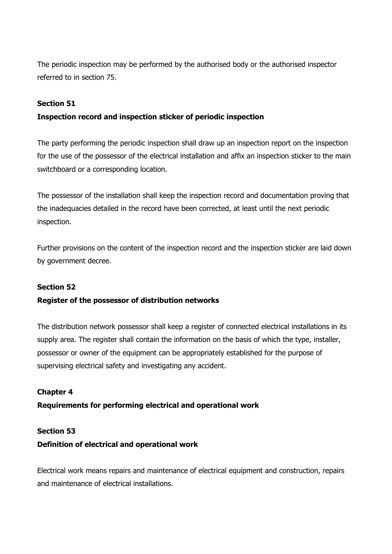The periodic inspection may be performed by the authorised body or the authorised inspector referred to in section 75.

## **Section 51**

## **Inspection record and inspection sticker of periodic inspection**

The party performing the periodic inspection shall draw up an inspection report on the inspection for the use of the possessor of the electrical installation and affix an inspection sticker to the main switchboard or a corresponding location.

The possessor of the installation shall keep the inspection record and documentation proving that the inadequacies detailed in the record have been corrected, at least until the next periodic inspection.

Further provisions on the content of the inspection record and the inspection sticker are laid down by government decree.

## **Section 52**

## **Register of the possessor of distribution networks**

The distribution network possessor shall keep a register of connected electrical installations in its supply area. The register shall contain the information on the basis of which the type, installer, possessor or owner of the equipment can be appropriately established for the purpose of supervising electrical safety and investigating any accident.

## **Chapter 4**

## **Requirements for performing electrical and operational work**

## **Section 53**

## **Definition of electrical and operational work**

Electrical work means repairs and maintenance of electrical equipment and construction, repairs and maintenance of electrical installations.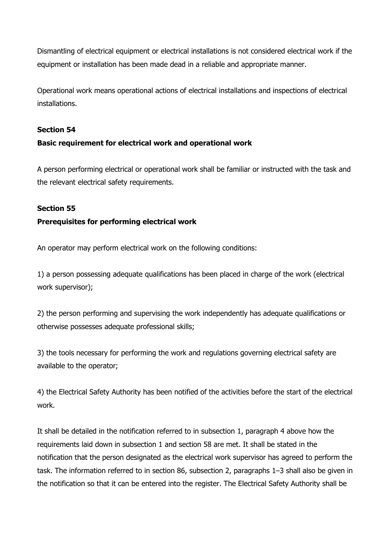Dismantling of electrical equipment or electrical installations is not considered electrical work if the equipment or installation has been made dead in a reliable and appropriate manner.

Operational work means operational actions of electrical installations and inspections of electrical installations.

## **Section 54**

## **Basic requirement for electrical work and operational work**

A person performing electrical or operational work shall be familiar or instructed with the task and the relevant electrical safety requirements.

## **Section 55**

## **Prerequisites for performing electrical work**

An operator may perform electrical work on the following conditions:

1) a person possessing adequate qualifications has been placed in charge of the work (electrical work supervisor);

2) the person performing and supervising the work independently has adequate qualifications or otherwise possesses adequate professional skills;

3) the tools necessary for performing the work and regulations governing electrical safety are available to the operator;

4) the Electrical Safety Authority has been notified of the activities before the start of the electrical work.

It shall be detailed in the notification referred to in subsection 1, paragraph 4 above how the requirements laid down in subsection 1 and section 58 are met. It shall be stated in the notification that the person designated as the electrical work supervisor has agreed to perform the task. The information referred to in section 86, subsection 2, paragraphs 1–3 shall also be given in the notification so that it can be entered into the register. The Electrical Safety Authority shall be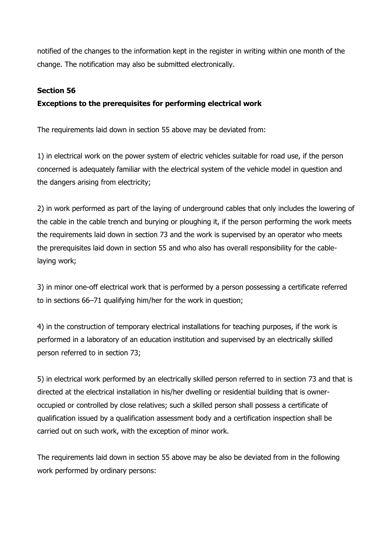notified of the changes to the information kept in the register in writing within one month of the change. The notification may also be submitted electronically.

### **Section 56**

## **Exceptions to the prerequisites for performing electrical work**

The requirements laid down in section 55 above may be deviated from:

1) in electrical work on the power system of electric vehicles suitable for road use, if the person concerned is adequately familiar with the electrical system of the vehicle model in question and the dangers arising from electricity;

2) in work performed as part of the laying of underground cables that only includes the lowering of the cable in the cable trench and burying or ploughing it, if the person performing the work meets the requirements laid down in section 73 and the work is supervised by an operator who meets the prerequisites laid down in section 55 and who also has overall responsibility for the cablelaying work;

3) in minor one-off electrical work that is performed by a person possessing a certificate referred to in sections 66–71 qualifying him/her for the work in question;

4) in the construction of temporary electrical installations for teaching purposes, if the work is performed in a laboratory of an education institution and supervised by an electrically skilled person referred to in section 73;

5) in electrical work performed by an electrically skilled person referred to in section 73 and that is directed at the electrical installation in his/her dwelling or residential building that is owneroccupied or controlled by close relatives; such a skilled person shall possess a certificate of qualification issued by a qualification assessment body and a certification inspection shall be carried out on such work, with the exception of minor work.

The requirements laid down in section 55 above may be also be deviated from in the following work performed by ordinary persons: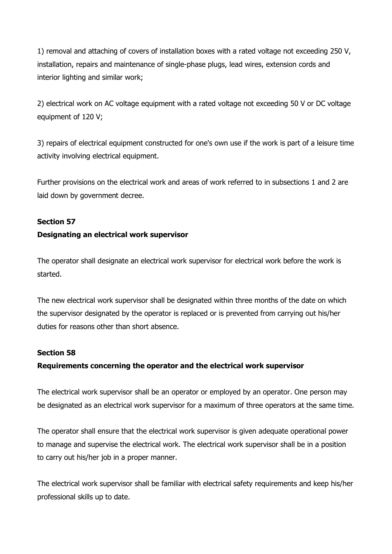1) removal and attaching of covers of installation boxes with a rated voltage not exceeding 250 V, installation, repairs and maintenance of single-phase plugs, lead wires, extension cords and interior lighting and similar work:

2) electrical work on AC voltage equipment with a rated voltage not exceeding 50 V or DC voltage equipment of 120 V;

3) repairs of electrical equipment constructed for one's own use if the work is part of a leisure time activity involving electrical equipment.

Further provisions on the electrical work and areas of work referred to in subsections 1 and 2 are laid down by government decree.

#### **Section 57**

#### **Designating an electrical work supervisor**

The operator shall designate an electrical work supervisor for electrical work before the work is started.

The new electrical work supervisor shall be designated within three months of the date on which the supervisor designated by the operator is replaced or is prevented from carrying out his/her duties for reasons other than short absence.

#### **Section 58**

## **Requirements concerning the operator and the electrical work supervisor**

The electrical work supervisor shall be an operator or employed by an operator. One person may be designated as an electrical work supervisor for a maximum of three operators at the same time.

The operator shall ensure that the electrical work supervisor is given adequate operational power to manage and supervise the electrical work. The electrical work supervisor shall be in a position to carry out his/her job in a proper manner.

The electrical work supervisor shall be familiar with electrical safety requirements and keep his/her professional skills up to date.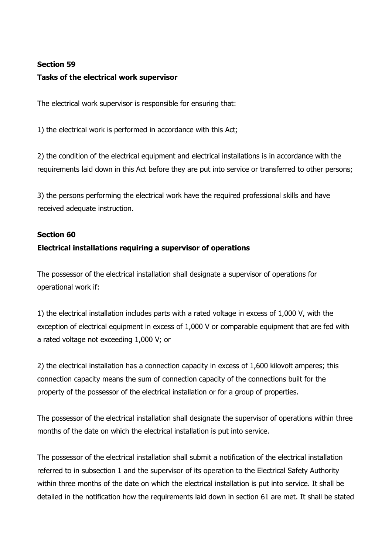## **Section 59 Tasks of the electrical work supervisor**

The electrical work supervisor is responsible for ensuring that:

1) the electrical work is performed in accordance with this Act;

2) the condition of the electrical equipment and electrical installations is in accordance with the requirements laid down in this Act before they are put into service or transferred to other persons;

3) the persons performing the electrical work have the required professional skills and have received adequate instruction.

## **Section 60**

## **Electrical installations requiring a supervisor of operations**

The possessor of the electrical installation shall designate a supervisor of operations for operational work if:

1) the electrical installation includes parts with a rated voltage in excess of 1,000 V, with the exception of electrical equipment in excess of 1,000 V or comparable equipment that are fed with a rated voltage not exceeding 1,000 V; or

2) the electrical installation has a connection capacity in excess of 1,600 kilovolt amperes; this connection capacity means the sum of connection capacity of the connections built for the property of the possessor of the electrical installation or for a group of properties.

The possessor of the electrical installation shall designate the supervisor of operations within three months of the date on which the electrical installation is put into service.

The possessor of the electrical installation shall submit a notification of the electrical installation referred to in subsection 1 and the supervisor of its operation to the Electrical Safety Authority within three months of the date on which the electrical installation is put into service. It shall be detailed in the notification how the requirements laid down in section 61 are met. It shall be stated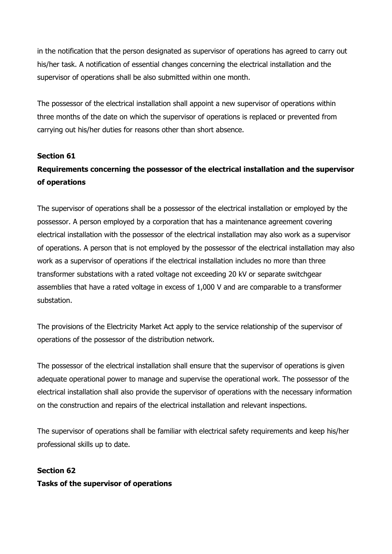in the notification that the person designated as supervisor of operations has agreed to carry out his/her task. A notification of essential changes concerning the electrical installation and the supervisor of operations shall be also submitted within one month.

The possessor of the electrical installation shall appoint a new supervisor of operations within three months of the date on which the supervisor of operations is replaced or prevented from carrying out his/her duties for reasons other than short absence.

## **Section 61**

# **Requirements concerning the possessor of the electrical installation and the supervisor of operations**

The supervisor of operations shall be a possessor of the electrical installation or employed by the possessor. A person employed by a corporation that has a maintenance agreement covering electrical installation with the possessor of the electrical installation may also work as a supervisor of operations. A person that is not employed by the possessor of the electrical installation may also work as a supervisor of operations if the electrical installation includes no more than three transformer substations with a rated voltage not exceeding 20 kV or separate switchgear assemblies that have a rated voltage in excess of 1,000 V and are comparable to a transformer substation.

The provisions of the Electricity Market Act apply to the service relationship of the supervisor of operations of the possessor of the distribution network.

The possessor of the electrical installation shall ensure that the supervisor of operations is given adequate operational power to manage and supervise the operational work. The possessor of the electrical installation shall also provide the supervisor of operations with the necessary information on the construction and repairs of the electrical installation and relevant inspections.

The supervisor of operations shall be familiar with electrical safety requirements and keep his/her professional skills up to date.

## **Section 62 Tasks of the supervisor of operations**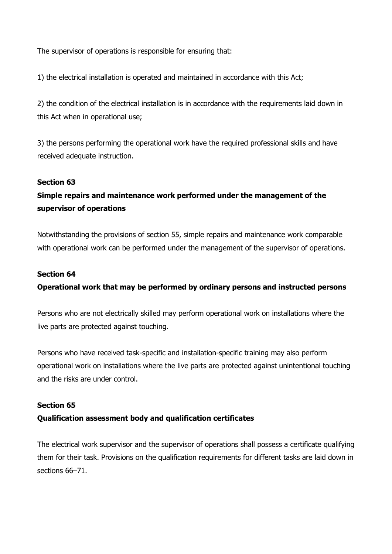The supervisor of operations is responsible for ensuring that:

1) the electrical installation is operated and maintained in accordance with this Act;

2) the condition of the electrical installation is in accordance with the requirements laid down in this Act when in operational use;

3) the persons performing the operational work have the required professional skills and have received adequate instruction.

#### **Section 63**

## **Simple repairs and maintenance work performed under the management of the supervisor of operations**

Notwithstanding the provisions of section 55, simple repairs and maintenance work comparable with operational work can be performed under the management of the supervisor of operations.

#### **Section 64**

## **Operational work that may be performed by ordinary persons and instructed persons**

Persons who are not electrically skilled may perform operational work on installations where the live parts are protected against touching.

Persons who have received task-specific and installation-specific training may also perform operational work on installations where the live parts are protected against unintentional touching and the risks are under control.

#### **Section 65**

## **Qualification assessment body and qualification certificates**

The electrical work supervisor and the supervisor of operations shall possess a certificate qualifying them for their task. Provisions on the qualification requirements for different tasks are laid down in sections 66–71.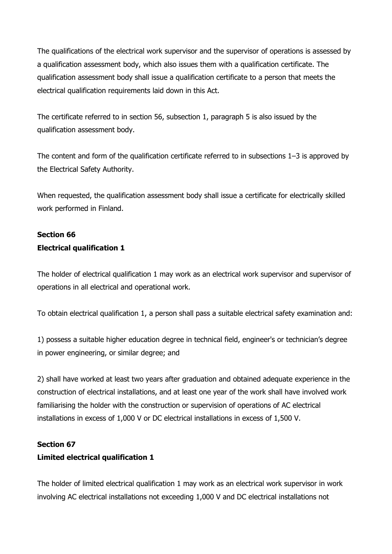The qualifications of the electrical work supervisor and the supervisor of operations is assessed by a qualification assessment body, which also issues them with a qualification certificate. The qualification assessment body shall issue a qualification certificate to a person that meets the electrical qualification requirements laid down in this Act.

The certificate referred to in section 56, subsection 1, paragraph 5 is also issued by the qualification assessment body.

The content and form of the qualification certificate referred to in subsections 1–3 is approved by the Electrical Safety Authority.

When requested, the qualification assessment body shall issue a certificate for electrically skilled work performed in Finland.

## **Section 66 Electrical qualification 1**

The holder of electrical qualification 1 may work as an electrical work supervisor and supervisor of operations in all electrical and operational work.

To obtain electrical qualification 1, a person shall pass a suitable electrical safety examination and:

1) possess a suitable higher education degree in technical field, engineer's or technician's degree in power engineering, or similar degree; and

2) shall have worked at least two years after graduation and obtained adequate experience in the construction of electrical installations, and at least one year of the work shall have involved work familiarising the holder with the construction or supervision of operations of AC electrical installations in excess of 1,000 V or DC electrical installations in excess of 1,500 V.

## **Section 67**

## **Limited electrical qualification 1**

The holder of limited electrical qualification 1 may work as an electrical work supervisor in work involving AC electrical installations not exceeding 1,000 V and DC electrical installations not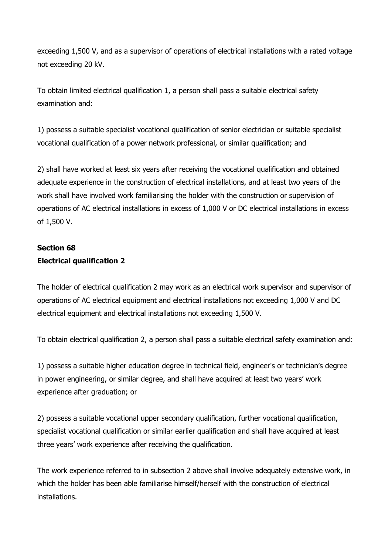exceeding 1,500 V, and as a supervisor of operations of electrical installations with a rated voltage not exceeding 20 kV.

To obtain limited electrical qualification 1, a person shall pass a suitable electrical safety examination and:

1) possess a suitable specialist vocational qualification of senior electrician or suitable specialist vocational qualification of a power network professional, or similar qualification; and

2) shall have worked at least six years after receiving the vocational qualification and obtained adequate experience in the construction of electrical installations, and at least two years of the work shall have involved work familiarising the holder with the construction or supervision of operations of AC electrical installations in excess of 1,000 V or DC electrical installations in excess of 1,500 V.

## **Section 68 Electrical qualification 2**

The holder of electrical qualification 2 may work as an electrical work supervisor and supervisor of operations of AC electrical equipment and electrical installations not exceeding 1,000 V and DC electrical equipment and electrical installations not exceeding 1,500 V.

To obtain electrical qualification 2, a person shall pass a suitable electrical safety examination and:

1) possess a suitable higher education degree in technical field, engineer's or technician's degree in power engineering, or similar degree, and shall have acquired at least two years' work experience after graduation; or

2) possess a suitable vocational upper secondary qualification, further vocational qualification, specialist vocational qualification or similar earlier qualification and shall have acquired at least three years' work experience after receiving the qualification.

The work experience referred to in subsection 2 above shall involve adequately extensive work, in which the holder has been able familiarise himself/herself with the construction of electrical installations.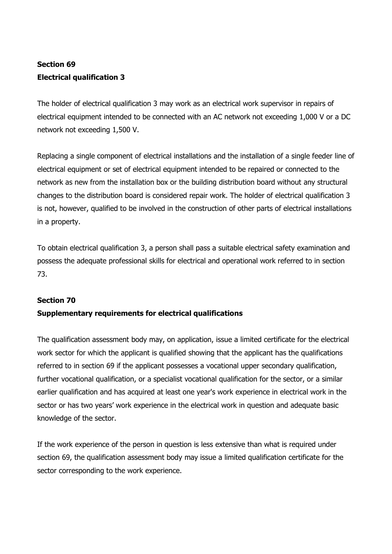# **Section 69 Electrical qualification 3**

The holder of electrical qualification 3 may work as an electrical work supervisor in repairs of electrical equipment intended to be connected with an AC network not exceeding 1,000 V or a DC network not exceeding 1,500 V.

Replacing a single component of electrical installations and the installation of a single feeder line of electrical equipment or set of electrical equipment intended to be repaired or connected to the network as new from the installation box or the building distribution board without any structural changes to the distribution board is considered repair work. The holder of electrical qualification 3 is not, however, qualified to be involved in the construction of other parts of electrical installations in a property.

To obtain electrical qualification 3, a person shall pass a suitable electrical safety examination and possess the adequate professional skills for electrical and operational work referred to in section 73.

## **Section 70**

## **Supplementary requirements for electrical qualifications**

The qualification assessment body may, on application, issue a limited certificate for the electrical work sector for which the applicant is qualified showing that the applicant has the qualifications referred to in section 69 if the applicant possesses a vocational upper secondary qualification, further vocational qualification, or a specialist vocational qualification for the sector, or a similar earlier qualification and has acquired at least one year's work experience in electrical work in the sector or has two years' work experience in the electrical work in question and adequate basic knowledge of the sector.

If the work experience of the person in question is less extensive than what is required under section 69, the qualification assessment body may issue a limited qualification certificate for the sector corresponding to the work experience.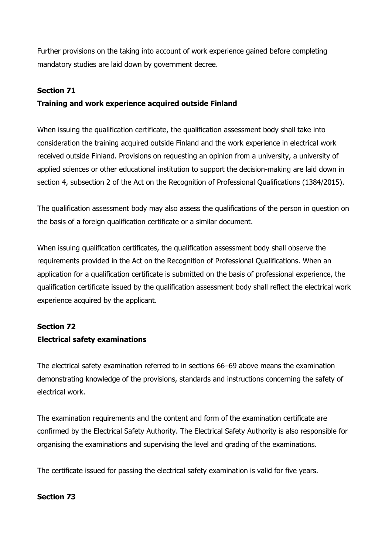Further provisions on the taking into account of work experience gained before completing mandatory studies are laid down by government decree.

## **Section 71**

## **Training and work experience acquired outside Finland**

When issuing the qualification certificate, the qualification assessment body shall take into consideration the training acquired outside Finland and the work experience in electrical work received outside Finland. Provisions on requesting an opinion from a university, a university of applied sciences or other educational institution to support the decision-making are laid down in section 4, subsection 2 of the Act on the Recognition of Professional Qualifications (1384/2015).

The qualification assessment body may also assess the qualifications of the person in question on the basis of a foreign qualification certificate or a similar document.

When issuing qualification certificates, the qualification assessment body shall observe the requirements provided in the Act on the Recognition of Professional Qualifications. When an application for a qualification certificate is submitted on the basis of professional experience, the qualification certificate issued by the qualification assessment body shall reflect the electrical work experience acquired by the applicant.

## **Section 72**

## **Electrical safety examinations**

The electrical safety examination referred to in sections 66–69 above means the examination demonstrating knowledge of the provisions, standards and instructions concerning the safety of electrical work.

The examination requirements and the content and form of the examination certificate are confirmed by the Electrical Safety Authority. The Electrical Safety Authority is also responsible for organising the examinations and supervising the level and grading of the examinations.

The certificate issued for passing the electrical safety examination is valid for five years.

## **Section 73**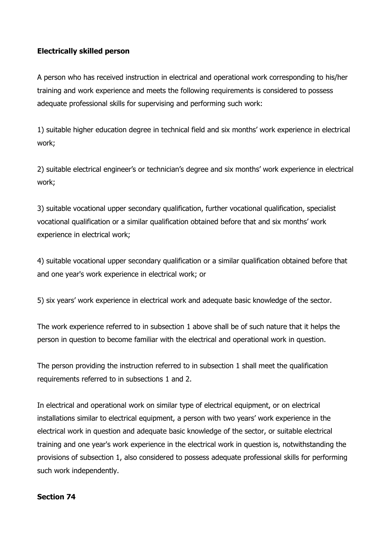## **Electrically skilled person**

A person who has received instruction in electrical and operational work corresponding to his/her training and work experience and meets the following requirements is considered to possess adequate professional skills for supervising and performing such work:

1) suitable higher education degree in technical field and six months' work experience in electrical work;

2) suitable electrical engineer's or technician's degree and six months' work experience in electrical work;

3) suitable vocational upper secondary qualification, further vocational qualification, specialist vocational qualification or a similar qualification obtained before that and six months' work experience in electrical work;

4) suitable vocational upper secondary qualification or a similar qualification obtained before that and one year's work experience in electrical work; or

5) six years' work experience in electrical work and adequate basic knowledge of the sector.

The work experience referred to in subsection 1 above shall be of such nature that it helps the person in question to become familiar with the electrical and operational work in question.

The person providing the instruction referred to in subsection 1 shall meet the qualification requirements referred to in subsections 1 and 2.

In electrical and operational work on similar type of electrical equipment, or on electrical installations similar to electrical equipment, a person with two years' work experience in the electrical work in question and adequate basic knowledge of the sector, or suitable electrical training and one year's work experience in the electrical work in question is, notwithstanding the provisions of subsection 1, also considered to possess adequate professional skills for performing such work independently.

## **Section 74**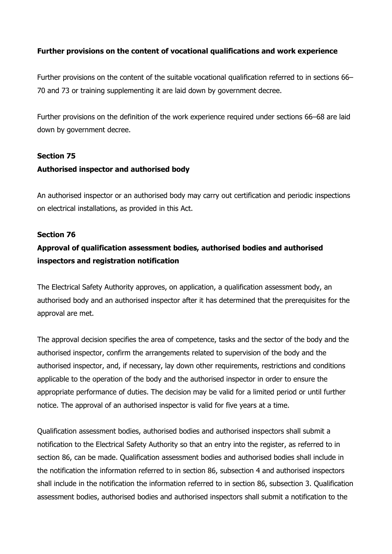## **Further provisions on the content of vocational qualifications and work experience**

Further provisions on the content of the suitable vocational qualification referred to in sections 66– 70 and 73 or training supplementing it are laid down by government decree.

Further provisions on the definition of the work experience required under sections 66–68 are laid down by government decree.

#### **Section 75**

## **Authorised inspector and authorised body**

An authorised inspector or an authorised body may carry out certification and periodic inspections on electrical installations, as provided in this Act.

#### **Section 76**

## **Approval of qualification assessment bodies, authorised bodies and authorised inspectors and registration notification**

The Electrical Safety Authority approves, on application, a qualification assessment body, an authorised body and an authorised inspector after it has determined that the prerequisites for the approval are met.

The approval decision specifies the area of competence, tasks and the sector of the body and the authorised inspector, confirm the arrangements related to supervision of the body and the authorised inspector, and, if necessary, lay down other requirements, restrictions and conditions applicable to the operation of the body and the authorised inspector in order to ensure the appropriate performance of duties. The decision may be valid for a limited period or until further notice. The approval of an authorised inspector is valid for five years at a time.

Qualification assessment bodies, authorised bodies and authorised inspectors shall submit a notification to the Electrical Safety Authority so that an entry into the register, as referred to in section 86, can be made. Qualification assessment bodies and authorised bodies shall include in the notification the information referred to in section 86, subsection 4 and authorised inspectors shall include in the notification the information referred to in section 86, subsection 3. Qualification assessment bodies, authorised bodies and authorised inspectors shall submit a notification to the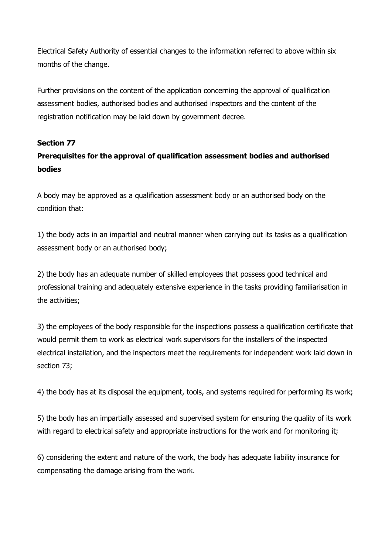Electrical Safety Authority of essential changes to the information referred to above within six months of the change.

Further provisions on the content of the application concerning the approval of qualification assessment bodies, authorised bodies and authorised inspectors and the content of the registration notification may be laid down by government decree.

## **Section 77**

## **Prerequisites for the approval of qualification assessment bodies and authorised bodies**

A body may be approved as a qualification assessment body or an authorised body on the condition that:

1) the body acts in an impartial and neutral manner when carrying out its tasks as a qualification assessment body or an authorised body;

2) the body has an adequate number of skilled employees that possess good technical and professional training and adequately extensive experience in the tasks providing familiarisation in the activities;

3) the employees of the body responsible for the inspections possess a qualification certificate that would permit them to work as electrical work supervisors for the installers of the inspected electrical installation, and the inspectors meet the requirements for independent work laid down in section 73;

4) the body has at its disposal the equipment, tools, and systems required for performing its work;

5) the body has an impartially assessed and supervised system for ensuring the quality of its work with regard to electrical safety and appropriate instructions for the work and for monitoring it;

6) considering the extent and nature of the work, the body has adequate liability insurance for compensating the damage arising from the work.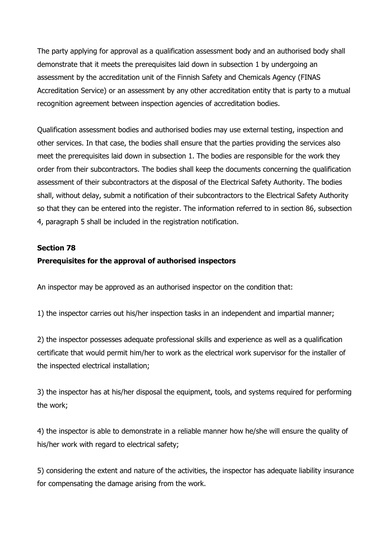The party applying for approval as a qualification assessment body and an authorised body shall demonstrate that it meets the prerequisites laid down in subsection 1 by undergoing an assessment by the accreditation unit of the Finnish Safety and Chemicals Agency (FINAS Accreditation Service) or an assessment by any other accreditation entity that is party to a mutual recognition agreement between inspection agencies of accreditation bodies.

Qualification assessment bodies and authorised bodies may use external testing, inspection and other services. In that case, the bodies shall ensure that the parties providing the services also meet the prerequisites laid down in subsection 1. The bodies are responsible for the work they order from their subcontractors. The bodies shall keep the documents concerning the qualification assessment of their subcontractors at the disposal of the Electrical Safety Authority. The bodies shall, without delay, submit a notification of their subcontractors to the Electrical Safety Authority so that they can be entered into the register. The information referred to in section 86, subsection 4, paragraph 5 shall be included in the registration notification.

#### **Section 78**

## **Prerequisites for the approval of authorised inspectors**

An inspector may be approved as an authorised inspector on the condition that:

1) the inspector carries out his/her inspection tasks in an independent and impartial manner;

2) the inspector possesses adequate professional skills and experience as well as a qualification certificate that would permit him/her to work as the electrical work supervisor for the installer of the inspected electrical installation;

3) the inspector has at his/her disposal the equipment, tools, and systems required for performing the work;

4) the inspector is able to demonstrate in a reliable manner how he/she will ensure the quality of his/her work with regard to electrical safety;

5) considering the extent and nature of the activities, the inspector has adequate liability insurance for compensating the damage arising from the work.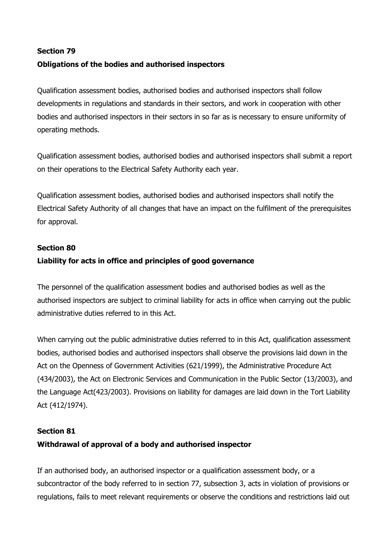# **Section 79**

## **Obligations of the bodies and authorised inspectors**

Qualification assessment bodies, authorised bodies and authorised inspectors shall follow developments in regulations and standards in their sectors, and work in cooperation with other bodies and authorised inspectors in their sectors in so far as is necessary to ensure uniformity of operating methods.

Qualification assessment bodies, authorised bodies and authorised inspectors shall submit a report on their operations to the Electrical Safety Authority each year.

Qualification assessment bodies, authorised bodies and authorised inspectors shall notify the Electrical Safety Authority of all changes that have an impact on the fulfilment of the prerequisites for approval.

## **Section 80**

## **Liability for acts in office and principles of good governance**

The personnel of the qualification assessment bodies and authorised bodies as well as the authorised inspectors are subject to criminal liability for acts in office when carrying out the public administrative duties referred to in this Act.

When carrying out the public administrative duties referred to in this Act, qualification assessment bodies, authorised bodies and authorised inspectors shall observe the provisions laid down in the Act on the Openness of Government Activities (621/1999), the Administrative Procedure Act (434/2003), the Act on Electronic Services and Communication in the Public Sector (13/2003), and the Language Act(423/2003). Provisions on liability for damages are laid down in the Tort Liability Act (412/1974).

# **Section 81 Withdrawal of approval of a body and authorised inspector**

If an authorised body, an authorised inspector or a qualification assessment body, or a subcontractor of the body referred to in section 77, subsection 3, acts in violation of provisions or regulations, fails to meet relevant requirements or observe the conditions and restrictions laid out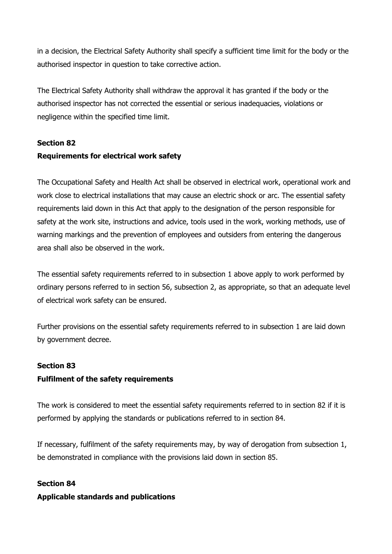in a decision, the Electrical Safety Authority shall specify a sufficient time limit for the body or the authorised inspector in question to take corrective action.

The Electrical Safety Authority shall withdraw the approval it has granted if the body or the authorised inspector has not corrected the essential or serious inadequacies, violations or negligence within the specified time limit.

### **Section 82**

## **Requirements for electrical work safety**

The Occupational Safety and Health Act shall be observed in electrical work, operational work and work close to electrical installations that may cause an electric shock or arc. The essential safety requirements laid down in this Act that apply to the designation of the person responsible for safety at the work site, instructions and advice, tools used in the work, working methods, use of warning markings and the prevention of employees and outsiders from entering the dangerous area shall also be observed in the work.

The essential safety requirements referred to in subsection 1 above apply to work performed by ordinary persons referred to in section 56, subsection 2, as appropriate, so that an adequate level of electrical work safety can be ensured.

Further provisions on the essential safety requirements referred to in subsection 1 are laid down by government decree.

## **Section 83**

#### **Fulfilment of the safety requirements**

The work is considered to meet the essential safety requirements referred to in section 82 if it is performed by applying the standards or publications referred to in section 84.

If necessary, fulfilment of the safety requirements may, by way of derogation from subsection 1, be demonstrated in compliance with the provisions laid down in section 85.

#### **Section 84**

#### **Applicable standards and publications**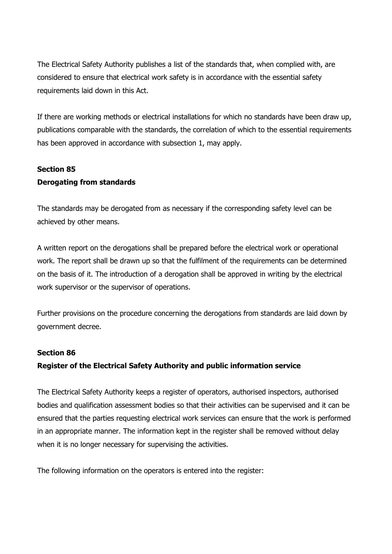The Electrical Safety Authority publishes a list of the standards that, when complied with, are considered to ensure that electrical work safety is in accordance with the essential safety requirements laid down in this Act.

If there are working methods or electrical installations for which no standards have been draw up, publications comparable with the standards, the correlation of which to the essential requirements has been approved in accordance with subsection 1, may apply.

## **Section 85**

## **Derogating from standards**

The standards may be derogated from as necessary if the corresponding safety level can be achieved by other means.

A written report on the derogations shall be prepared before the electrical work or operational work. The report shall be drawn up so that the fulfilment of the requirements can be determined on the basis of it. The introduction of a derogation shall be approved in writing by the electrical work supervisor or the supervisor of operations.

Further provisions on the procedure concerning the derogations from standards are laid down by government decree.

## **Section 86**

## **Register of the Electrical Safety Authority and public information service**

The Electrical Safety Authority keeps a register of operators, authorised inspectors, authorised bodies and qualification assessment bodies so that their activities can be supervised and it can be ensured that the parties requesting electrical work services can ensure that the work is performed in an appropriate manner. The information kept in the register shall be removed without delay when it is no longer necessary for supervising the activities.

The following information on the operators is entered into the register: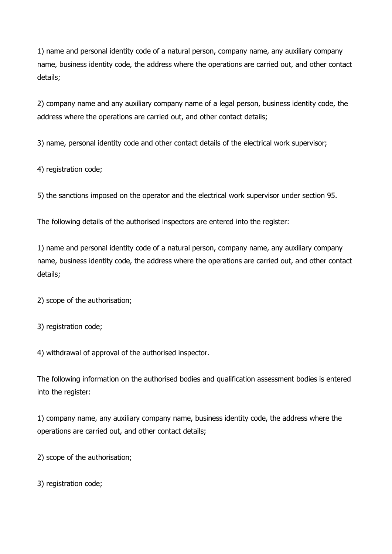1) name and personal identity code of a natural person, company name, any auxiliary company name, business identity code, the address where the operations are carried out, and other contact details;

2) company name and any auxiliary company name of a legal person, business identity code, the address where the operations are carried out, and other contact details;

3) name, personal identity code and other contact details of the electrical work supervisor;

4) registration code;

5) the sanctions imposed on the operator and the electrical work supervisor under section 95.

The following details of the authorised inspectors are entered into the register:

1) name and personal identity code of a natural person, company name, any auxiliary company name, business identity code, the address where the operations are carried out, and other contact details;

2) scope of the authorisation;

3) registration code;

4) withdrawal of approval of the authorised inspector.

The following information on the authorised bodies and qualification assessment bodies is entered into the register:

1) company name, any auxiliary company name, business identity code, the address where the operations are carried out, and other contact details;

2) scope of the authorisation;

3) registration code;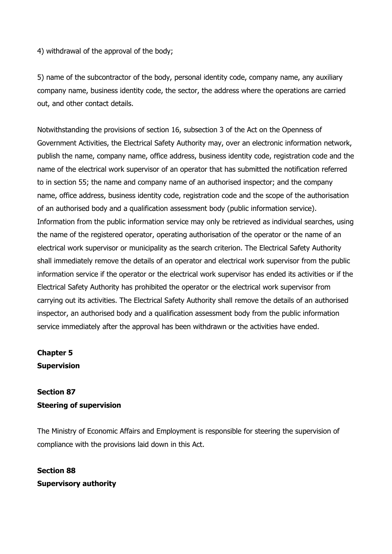4) withdrawal of the approval of the body;

5) name of the subcontractor of the body, personal identity code, company name, any auxiliary company name, business identity code, the sector, the address where the operations are carried out, and other contact details.

Notwithstanding the provisions of section 16, subsection 3 of the Act on the Openness of Government Activities, the Electrical Safety Authority may, over an electronic information network, publish the name, company name, office address, business identity code, registration code and the name of the electrical work supervisor of an operator that has submitted the notification referred to in section 55; the name and company name of an authorised inspector; and the company name, office address, business identity code, registration code and the scope of the authorisation of an authorised body and a qualification assessment body (public information service). Information from the public information service may only be retrieved as individual searches, using the name of the registered operator, operating authorisation of the operator or the name of an electrical work supervisor or municipality as the search criterion. The Electrical Safety Authority shall immediately remove the details of an operator and electrical work supervisor from the public information service if the operator or the electrical work supervisor has ended its activities or if the Electrical Safety Authority has prohibited the operator or the electrical work supervisor from carrying out its activities. The Electrical Safety Authority shall remove the details of an authorised inspector, an authorised body and a qualification assessment body from the public information service immediately after the approval has been withdrawn or the activities have ended.

**Chapter 5 Supervision** 

## **Section 87 Steering of supervision**

The Ministry of Economic Affairs and Employment is responsible for steering the supervision of compliance with the provisions laid down in this Act.

**Section 88 Supervisory authority**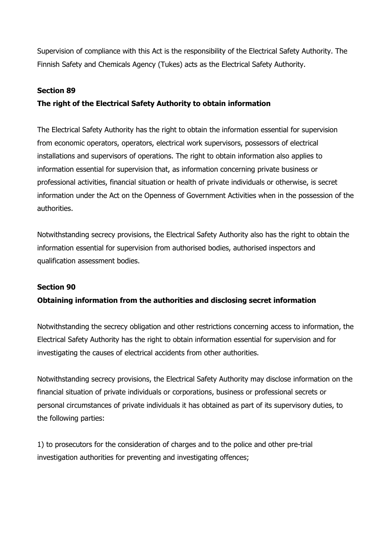Supervision of compliance with this Act is the responsibility of the Electrical Safety Authority. The Finnish Safety and Chemicals Agency (Tukes) acts as the Electrical Safety Authority.

### **Section 89**

## **The right of the Electrical Safety Authority to obtain information**

The Electrical Safety Authority has the right to obtain the information essential for supervision from economic operators, operators, electrical work supervisors, possessors of electrical installations and supervisors of operations. The right to obtain information also applies to information essential for supervision that, as information concerning private business or professional activities, financial situation or health of private individuals or otherwise, is secret information under the Act on the Openness of Government Activities when in the possession of the authorities.

Notwithstanding secrecy provisions, the Electrical Safety Authority also has the right to obtain the information essential for supervision from authorised bodies, authorised inspectors and qualification assessment bodies.

#### **Section 90**

## **Obtaining information from the authorities and disclosing secret information**

Notwithstanding the secrecy obligation and other restrictions concerning access to information, the Electrical Safety Authority has the right to obtain information essential for supervision and for investigating the causes of electrical accidents from other authorities.

Notwithstanding secrecy provisions, the Electrical Safety Authority may disclose information on the financial situation of private individuals or corporations, business or professional secrets or personal circumstances of private individuals it has obtained as part of its supervisory duties, to the following parties:

1) to prosecutors for the consideration of charges and to the police and other pre-trial investigation authorities for preventing and investigating offences;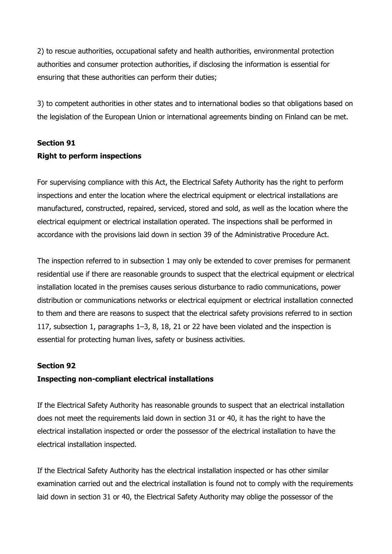2) to rescue authorities, occupational safety and health authorities, environmental protection authorities and consumer protection authorities, if disclosing the information is essential for ensuring that these authorities can perform their duties;

3) to competent authorities in other states and to international bodies so that obligations based on the legislation of the European Union or international agreements binding on Finland can be met.

## **Section 91 Right to perform inspections**

For supervising compliance with this Act, the Electrical Safety Authority has the right to perform inspections and enter the location where the electrical equipment or electrical installations are manufactured, constructed, repaired, serviced, stored and sold, as well as the location where the electrical equipment or electrical installation operated. The inspections shall be performed in accordance with the provisions laid down in section 39 of the Administrative Procedure Act.

The inspection referred to in subsection 1 may only be extended to cover premises for permanent residential use if there are reasonable grounds to suspect that the electrical equipment or electrical installation located in the premises causes serious disturbance to radio communications, power distribution or communications networks or electrical equipment or electrical installation connected to them and there are reasons to suspect that the electrical safety provisions referred to in section 117, subsection 1, paragraphs 1–3, 8, 18, 21 or 22 have been violated and the inspection is essential for protecting human lives, safety or business activities.

## **Section 92**

## **Inspecting non-compliant electrical installations**

If the Electrical Safety Authority has reasonable grounds to suspect that an electrical installation does not meet the requirements laid down in section 31 or 40, it has the right to have the electrical installation inspected or order the possessor of the electrical installation to have the electrical installation inspected.

If the Electrical Safety Authority has the electrical installation inspected or has other similar examination carried out and the electrical installation is found not to comply with the requirements laid down in section 31 or 40, the Electrical Safety Authority may oblige the possessor of the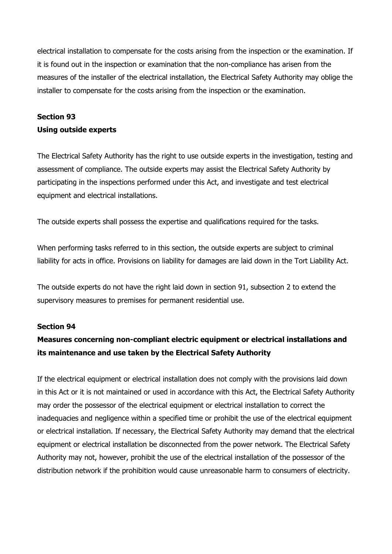electrical installation to compensate for the costs arising from the inspection or the examination. If it is found out in the inspection or examination that the non-compliance has arisen from the measures of the installer of the electrical installation, the Electrical Safety Authority may oblige the installer to compensate for the costs arising from the inspection or the examination.

## **Section 93 Using outside experts**

The Electrical Safety Authority has the right to use outside experts in the investigation, testing and assessment of compliance. The outside experts may assist the Electrical Safety Authority by participating in the inspections performed under this Act, and investigate and test electrical equipment and electrical installations.

The outside experts shall possess the expertise and qualifications required for the tasks.

When performing tasks referred to in this section, the outside experts are subject to criminal liability for acts in office. Provisions on liability for damages are laid down in the Tort Liability Act.

The outside experts do not have the right laid down in section 91, subsection 2 to extend the supervisory measures to premises for permanent residential use.

#### **Section 94**

## **Measures concerning non-compliant electric equipment or electrical installations and its maintenance and use taken by the Electrical Safety Authority**

If the electrical equipment or electrical installation does not comply with the provisions laid down in this Act or it is not maintained or used in accordance with this Act, the Electrical Safety Authority may order the possessor of the electrical equipment or electrical installation to correct the inadequacies and negligence within a specified time or prohibit the use of the electrical equipment or electrical installation. If necessary, the Electrical Safety Authority may demand that the electrical equipment or electrical installation be disconnected from the power network. The Electrical Safety Authority may not, however, prohibit the use of the electrical installation of the possessor of the distribution network if the prohibition would cause unreasonable harm to consumers of electricity.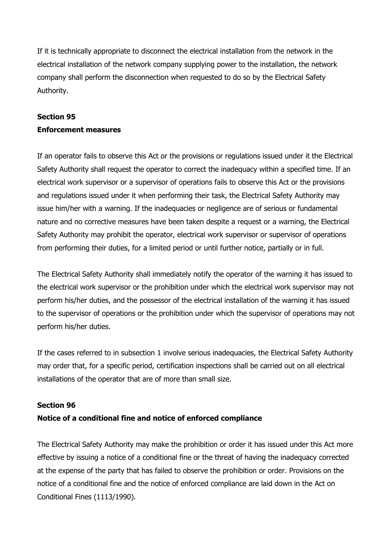If it is technically appropriate to disconnect the electrical installation from the network in the electrical installation of the network company supplying power to the installation, the network company shall perform the disconnection when requested to do so by the Electrical Safety Authority.

## **Section 95 Enforcement measures**

If an operator fails to observe this Act or the provisions or regulations issued under it the Electrical Safety Authority shall request the operator to correct the inadequacy within a specified time. If an electrical work supervisor or a supervisor of operations fails to observe this Act or the provisions and regulations issued under it when performing their task, the Electrical Safety Authority may issue him/her with a warning. If the inadequacies or negligence are of serious or fundamental nature and no corrective measures have been taken despite a request or a warning, the Electrical Safety Authority may prohibit the operator, electrical work supervisor or supervisor of operations from performing their duties, for a limited period or until further notice, partially or in full.

The Electrical Safety Authority shall immediately notify the operator of the warning it has issued to the electrical work supervisor or the prohibition under which the electrical work supervisor may not perform his/her duties, and the possessor of the electrical installation of the warning it has issued to the supervisor of operations or the prohibition under which the supervisor of operations may not perform his/her duties.

If the cases referred to in subsection 1 involve serious inadequacies, the Electrical Safety Authority may order that, for a specific period, certification inspections shall be carried out on all electrical installations of the operator that are of more than small size.

## **Section 96**

## **Notice of a conditional fine and notice of enforced compliance**

The Electrical Safety Authority may make the prohibition or order it has issued under this Act more effective by issuing a notice of a conditional fine or the threat of having the inadequacy corrected at the expense of the party that has failed to observe the prohibition or order. Provisions on the notice of a conditional fine and the notice of enforced compliance are laid down in the Act on Conditional Fines (1113/1990).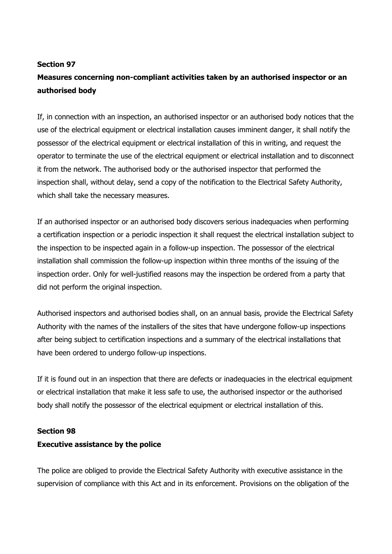#### **Section 97**

# **Measures concerning non-compliant activities taken by an authorised inspector or an authorised body**

If, in connection with an inspection, an authorised inspector or an authorised body notices that the use of the electrical equipment or electrical installation causes imminent danger, it shall notify the possessor of the electrical equipment or electrical installation of this in writing, and request the operator to terminate the use of the electrical equipment or electrical installation and to disconnect it from the network. The authorised body or the authorised inspector that performed the inspection shall, without delay, send a copy of the notification to the Electrical Safety Authority, which shall take the necessary measures.

If an authorised inspector or an authorised body discovers serious inadequacies when performing a certification inspection or a periodic inspection it shall request the electrical installation subject to the inspection to be inspected again in a follow-up inspection. The possessor of the electrical installation shall commission the follow-up inspection within three months of the issuing of the inspection order. Only for well-justified reasons may the inspection be ordered from a party that did not perform the original inspection.

Authorised inspectors and authorised bodies shall, on an annual basis, provide the Electrical Safety Authority with the names of the installers of the sites that have undergone follow-up inspections after being subject to certification inspections and a summary of the electrical installations that have been ordered to undergo follow-up inspections.

If it is found out in an inspection that there are defects or inadequacies in the electrical equipment or electrical installation that make it less safe to use, the authorised inspector or the authorised body shall notify the possessor of the electrical equipment or electrical installation of this.

#### **Section 98**

#### **Executive assistance by the police**

The police are obliged to provide the Electrical Safety Authority with executive assistance in the supervision of compliance with this Act and in its enforcement. Provisions on the obligation of the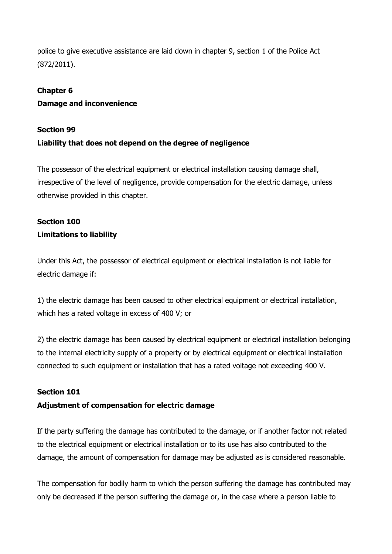police to give executive assistance are laid down in chapter 9, section 1 of the Police Act (872/2011).

## **Chapter 6**

## **Damage and inconvenience**

### **Section 99**

## **Liability that does not depend on the degree of negligence**

The possessor of the electrical equipment or electrical installation causing damage shall, irrespective of the level of negligence, provide compensation for the electric damage, unless otherwise provided in this chapter.

## **Section 100 Limitations to liability**

Under this Act, the possessor of electrical equipment or electrical installation is not liable for electric damage if:

1) the electric damage has been caused to other electrical equipment or electrical installation, which has a rated voltage in excess of 400 V; or

2) the electric damage has been caused by electrical equipment or electrical installation belonging to the internal electricity supply of a property or by electrical equipment or electrical installation connected to such equipment or installation that has a rated voltage not exceeding 400 V.

## **Section 101**

## **Adjustment of compensation for electric damage**

If the party suffering the damage has contributed to the damage, or if another factor not related to the electrical equipment or electrical installation or to its use has also contributed to the damage, the amount of compensation for damage may be adjusted as is considered reasonable.

The compensation for bodily harm to which the person suffering the damage has contributed may only be decreased if the person suffering the damage or, in the case where a person liable to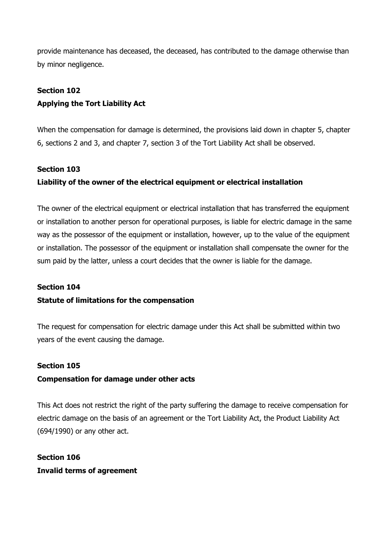provide maintenance has deceased, the deceased, has contributed to the damage otherwise than by minor negligence.

## **Section 102 Applying the Tort Liability Act**

When the compensation for damage is determined, the provisions laid down in chapter 5, chapter 6, sections 2 and 3, and chapter 7, section 3 of the Tort Liability Act shall be observed.

## **Section 103**

## **Liability of the owner of the electrical equipment or electrical installation**

The owner of the electrical equipment or electrical installation that has transferred the equipment or installation to another person for operational purposes, is liable for electric damage in the same way as the possessor of the equipment or installation, however, up to the value of the equipment or installation. The possessor of the equipment or installation shall compensate the owner for the sum paid by the latter, unless a court decides that the owner is liable for the damage.

## **Section 104**

## **Statute of limitations for the compensation**

The request for compensation for electric damage under this Act shall be submitted within two years of the event causing the damage.

## **Section 105**

## **Compensation for damage under other acts**

This Act does not restrict the right of the party suffering the damage to receive compensation for electric damage on the basis of an agreement or the Tort Liability Act, the Product Liability Act (694/1990) or any other act.

**Section 106 Invalid terms of agreement**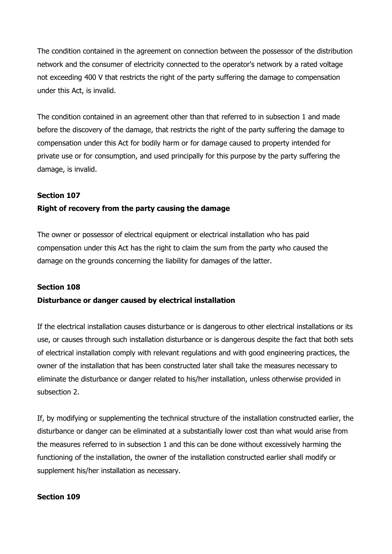The condition contained in the agreement on connection between the possessor of the distribution network and the consumer of electricity connected to the operator's network by a rated voltage not exceeding 400 V that restricts the right of the party suffering the damage to compensation under this Act, is invalid.

The condition contained in an agreement other than that referred to in subsection 1 and made before the discovery of the damage, that restricts the right of the party suffering the damage to compensation under this Act for bodily harm or for damage caused to property intended for private use or for consumption, and used principally for this purpose by the party suffering the damage, is invalid.

## **Section 107**

## **Right of recovery from the party causing the damage**

The owner or possessor of electrical equipment or electrical installation who has paid compensation under this Act has the right to claim the sum from the party who caused the damage on the grounds concerning the liability for damages of the latter.

#### **Section 108**

#### **Disturbance or danger caused by electrical installation**

If the electrical installation causes disturbance or is dangerous to other electrical installations or its use, or causes through such installation disturbance or is dangerous despite the fact that both sets of electrical installation comply with relevant regulations and with good engineering practices, the owner of the installation that has been constructed later shall take the measures necessary to eliminate the disturbance or danger related to his/her installation, unless otherwise provided in subsection 2.

If, by modifying or supplementing the technical structure of the installation constructed earlier, the disturbance or danger can be eliminated at a substantially lower cost than what would arise from the measures referred to in subsection 1 and this can be done without excessively harming the functioning of the installation, the owner of the installation constructed earlier shall modify or supplement his/her installation as necessary.

#### **Section 109**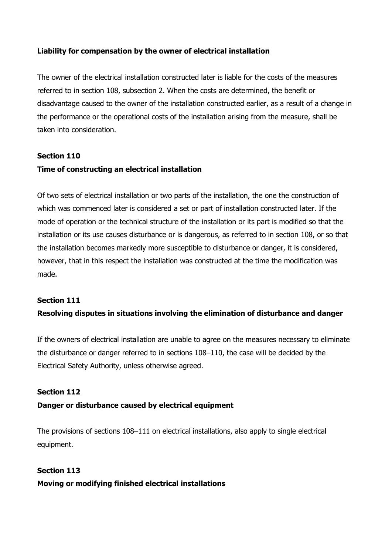## **Liability for compensation by the owner of electrical installation**

The owner of the electrical installation constructed later is liable for the costs of the measures referred to in section 108, subsection 2. When the costs are determined, the benefit or disadvantage caused to the owner of the installation constructed earlier, as a result of a change in the performance or the operational costs of the installation arising from the measure, shall be taken into consideration.

## **Section 110**

## **Time of constructing an electrical installation**

Of two sets of electrical installation or two parts of the installation, the one the construction of which was commenced later is considered a set or part of installation constructed later. If the mode of operation or the technical structure of the installation or its part is modified so that the installation or its use causes disturbance or is dangerous, as referred to in section 108, or so that the installation becomes markedly more susceptible to disturbance or danger, it is considered, however, that in this respect the installation was constructed at the time the modification was made.

## **Section 111**

## **Resolving disputes in situations involving the elimination of disturbance and danger**

If the owners of electrical installation are unable to agree on the measures necessary to eliminate the disturbance or danger referred to in sections 108–110, the case will be decided by the Electrical Safety Authority, unless otherwise agreed.

## **Section 112**

## **Danger or disturbance caused by electrical equipment**

The provisions of sections 108–111 on electrical installations, also apply to single electrical equipment.

## **Section 113**

## **Moving or modifying finished electrical installations**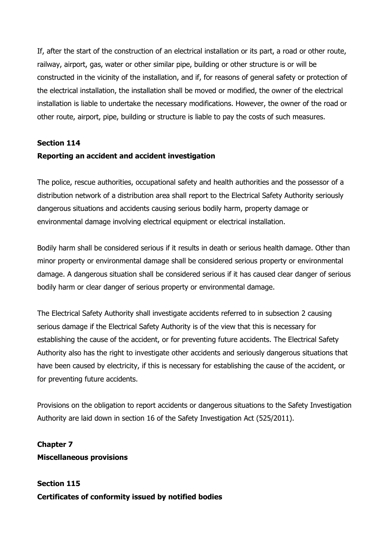If, after the start of the construction of an electrical installation or its part, a road or other route, railway, airport, gas, water or other similar pipe, building or other structure is or will be constructed in the vicinity of the installation, and if, for reasons of general safety or protection of the electrical installation, the installation shall be moved or modified, the owner of the electrical installation is liable to undertake the necessary modifications. However, the owner of the road or other route, airport, pipe, building or structure is liable to pay the costs of such measures.

## **Section 114**

## **Reporting an accident and accident investigation**

The police, rescue authorities, occupational safety and health authorities and the possessor of a distribution network of a distribution area shall report to the Electrical Safety Authority seriously dangerous situations and accidents causing serious bodily harm, property damage or environmental damage involving electrical equipment or electrical installation.

Bodily harm shall be considered serious if it results in death or serious health damage. Other than minor property or environmental damage shall be considered serious property or environmental damage. A dangerous situation shall be considered serious if it has caused clear danger of serious bodily harm or clear danger of serious property or environmental damage.

The Electrical Safety Authority shall investigate accidents referred to in subsection 2 causing serious damage if the Electrical Safety Authority is of the view that this is necessary for establishing the cause of the accident, or for preventing future accidents. The Electrical Safety Authority also has the right to investigate other accidents and seriously dangerous situations that have been caused by electricity, if this is necessary for establishing the cause of the accident, or for preventing future accidents.

Provisions on the obligation to report accidents or dangerous situations to the Safety Investigation Authority are laid down in section 16 of the Safety Investigation Act (525/2011).

## **Chapter 7 Miscellaneous provisions**

**Section 115 Certificates of conformity issued by notified bodies**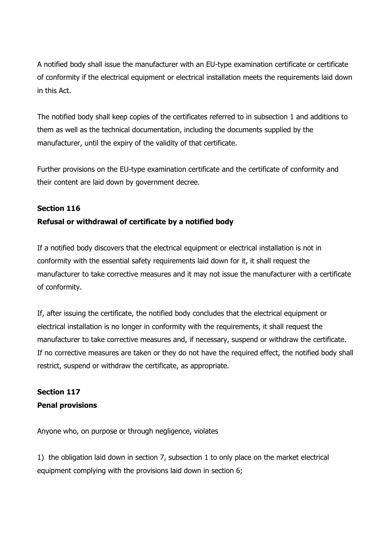A notified body shall issue the manufacturer with an EU-type examination certificate or certificate of conformity if the electrical equipment or electrical installation meets the requirements laid down in this Act.

The notified body shall keep copies of the certificates referred to in subsection 1 and additions to them as well as the technical documentation, including the documents supplied by the manufacturer, until the expiry of the validity of that certificate.

Further provisions on the EU-type examination certificate and the certificate of conformity and their content are laid down by government decree.

## **Section 116**

## **Refusal or withdrawal of certificate by a notified body**

If a notified body discovers that the electrical equipment or electrical installation is not in conformity with the essential safety requirements laid down for it, it shall request the manufacturer to take corrective measures and it may not issue the manufacturer with a certificate of conformity.

If, after issuing the certificate, the notified body concludes that the electrical equipment or electrical installation is no longer in conformity with the requirements, it shall request the manufacturer to take corrective measures and, if necessary, suspend or withdraw the certificate. If no corrective measures are taken or they do not have the required effect, the notified body shall restrict, suspend or withdraw the certificate, as appropriate.

## **Section 117 Penal provisions**

Anyone who, on purpose or through negligence, violates

1) the obligation laid down in section 7, subsection 1 to only place on the market electrical equipment complying with the provisions laid down in section 6;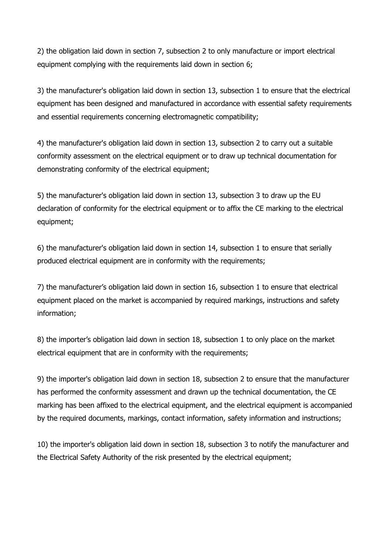2) the obligation laid down in section 7, subsection 2 to only manufacture or import electrical equipment complying with the requirements laid down in section 6;

3) the manufacturer's obligation laid down in section 13, subsection 1 to ensure that the electrical equipment has been designed and manufactured in accordance with essential safety requirements and essential requirements concerning electromagnetic compatibility;

4) the manufacturer's obligation laid down in section 13, subsection 2 to carry out a suitable conformity assessment on the electrical equipment or to draw up technical documentation for demonstrating conformity of the electrical equipment;

5) the manufacturer's obligation laid down in section 13, subsection 3 to draw up the EU declaration of conformity for the electrical equipment or to affix the CE marking to the electrical equipment;

6) the manufacturer's obligation laid down in section 14, subsection 1 to ensure that serially produced electrical equipment are in conformity with the requirements;

7) the manufacturer's obligation laid down in section 16, subsection 1 to ensure that electrical equipment placed on the market is accompanied by required markings, instructions and safety information;

8) the importer's obligation laid down in section 18, subsection 1 to only place on the market electrical equipment that are in conformity with the requirements;

9) the importer's obligation laid down in section 18, subsection 2 to ensure that the manufacturer has performed the conformity assessment and drawn up the technical documentation, the CE marking has been affixed to the electrical equipment, and the electrical equipment is accompanied by the required documents, markings, contact information, safety information and instructions;

10) the importer's obligation laid down in section 18, subsection 3 to notify the manufacturer and the Electrical Safety Authority of the risk presented by the electrical equipment;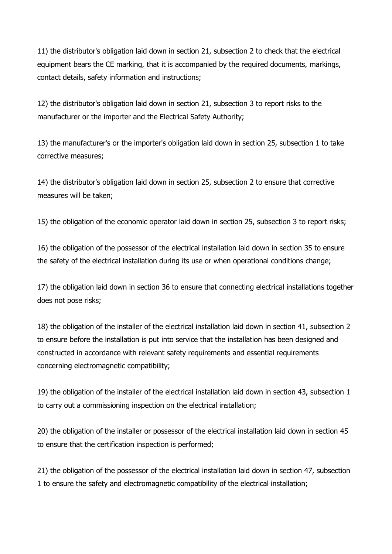11) the distributor's obligation laid down in section 21, subsection 2 to check that the electrical equipment bears the CE marking, that it is accompanied by the required documents, markings, contact details, safety information and instructions;

12) the distributor's obligation laid down in section 21, subsection 3 to report risks to the manufacturer or the importer and the Electrical Safety Authority;

13) the manufacturer's or the importer's obligation laid down in section 25, subsection 1 to take corrective measures;

14) the distributor's obligation laid down in section 25, subsection 2 to ensure that corrective measures will be taken;

15) the obligation of the economic operator laid down in section 25, subsection 3 to report risks;

16) the obligation of the possessor of the electrical installation laid down in section 35 to ensure the safety of the electrical installation during its use or when operational conditions change;

17) the obligation laid down in section 36 to ensure that connecting electrical installations together does not pose risks;

18) the obligation of the installer of the electrical installation laid down in section 41, subsection 2 to ensure before the installation is put into service that the installation has been designed and constructed in accordance with relevant safety requirements and essential requirements concerning electromagnetic compatibility;

19) the obligation of the installer of the electrical installation laid down in section 43, subsection 1 to carry out a commissioning inspection on the electrical installation;

20) the obligation of the installer or possessor of the electrical installation laid down in section 45 to ensure that the certification inspection is performed;

21) the obligation of the possessor of the electrical installation laid down in section 47, subsection 1 to ensure the safety and electromagnetic compatibility of the electrical installation;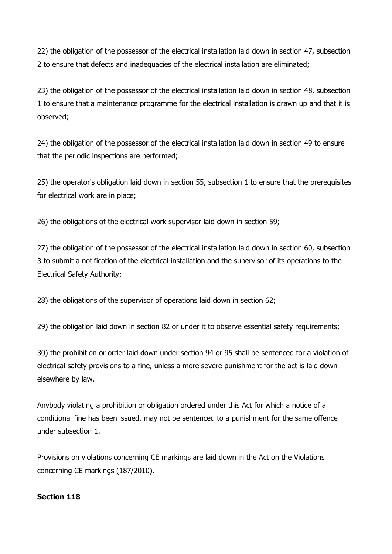22) the obligation of the possessor of the electrical installation laid down in section 47, subsection 2 to ensure that defects and inadequacies of the electrical installation are eliminated;

23) the obligation of the possessor of the electrical installation laid down in section 48, subsection 1 to ensure that a maintenance programme for the electrical installation is drawn up and that it is observed;

24) the obligation of the possessor of the electrical installation laid down in section 49 to ensure that the periodic inspections are performed;

25) the operator's obligation laid down in section 55, subsection 1 to ensure that the prerequisites for electrical work are in place;

26) the obligations of the electrical work supervisor laid down in section 59;

27) the obligation of the possessor of the electrical installation laid down in section 60, subsection 3 to submit a notification of the electrical installation and the supervisor of its operations to the Electrical Safety Authority;

28) the obligations of the supervisor of operations laid down in section 62;

29) the obligation laid down in section 82 or under it to observe essential safety requirements;

30) the prohibition or order laid down under section 94 or 95 shall be sentenced for a violation of electrical safety provisions to a fine, unless a more severe punishment for the act is laid down elsewhere by law.

Anybody violating a prohibition or obligation ordered under this Act for which a notice of a conditional fine has been issued, may not be sentenced to a punishment for the same offence under subsection 1.

Provisions on violations concerning CE markings are laid down in the Act on the Violations concerning CE markings (187/2010).

## **Section 118**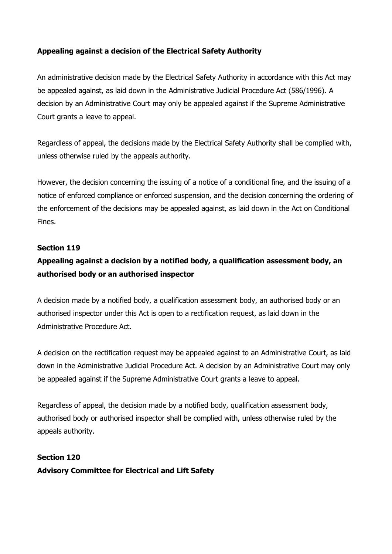## **Appealing against a decision of the Electrical Safety Authority**

An administrative decision made by the Electrical Safety Authority in accordance with this Act may be appealed against, as laid down in the Administrative Judicial Procedure Act (586/1996). A decision by an Administrative Court may only be appealed against if the Supreme Administrative Court grants a leave to appeal.

Regardless of appeal, the decisions made by the Electrical Safety Authority shall be complied with, unless otherwise ruled by the appeals authority.

However, the decision concerning the issuing of a notice of a conditional fine, and the issuing of a notice of enforced compliance or enforced suspension, and the decision concerning the ordering of the enforcement of the decisions may be appealed against, as laid down in the Act on Conditional Fines.

#### **Section 119**

## **Appealing against a decision by a notified body, a qualification assessment body, an authorised body or an authorised inspector**

A decision made by a notified body, a qualification assessment body, an authorised body or an authorised inspector under this Act is open to a rectification request, as laid down in the Administrative Procedure Act.

A decision on the rectification request may be appealed against to an Administrative Court, as laid down in the Administrative Judicial Procedure Act. A decision by an Administrative Court may only be appealed against if the Supreme Administrative Court grants a leave to appeal.

Regardless of appeal, the decision made by a notified body, qualification assessment body, authorised body or authorised inspector shall be complied with, unless otherwise ruled by the appeals authority.

# **Section 120 Advisory Committee for Electrical and Lift Safety**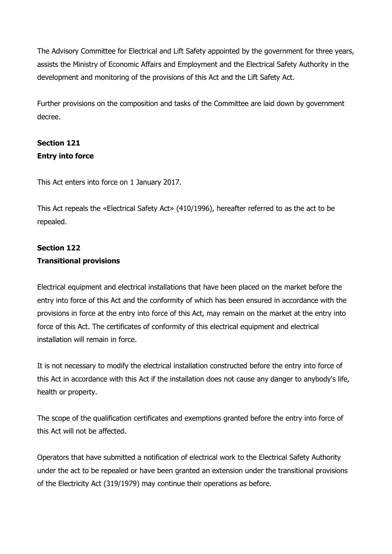The Advisory Committee for Electrical and Lift Safety appointed by the government for three years, assists the Ministry of Economic Affairs and Employment and the Electrical Safety Authority in the development and monitoring of the provisions of this Act and the Lift Safety Act.

Further provisions on the composition and tasks of the Committee are laid down by government decree.

# **Section 121 Entry into force**

This Act enters into force on 1 January 2017.

This Act repeals the «Electrical Safety Act» (410/1996), hereafter referred to as the act to be repealed.

## **Section 122 Transitional provisions**

Electrical equipment and electrical installations that have been placed on the market before the entry into force of this Act and the conformity of which has been ensured in accordance with the provisions in force at the entry into force of this Act, may remain on the market at the entry into force of this Act. The certificates of conformity of this electrical equipment and electrical installation will remain in force.

It is not necessary to modify the electrical installation constructed before the entry into force of this Act in accordance with this Act if the installation does not cause any danger to anybody's life, health or property.

The scope of the qualification certificates and exemptions granted before the entry into force of this Act will not be affected.

Operators that have submitted a notification of electrical work to the Electrical Safety Authority under the act to be repealed or have been granted an extension under the transitional provisions of the Electricity Act (319/1979) may continue their operations as before.